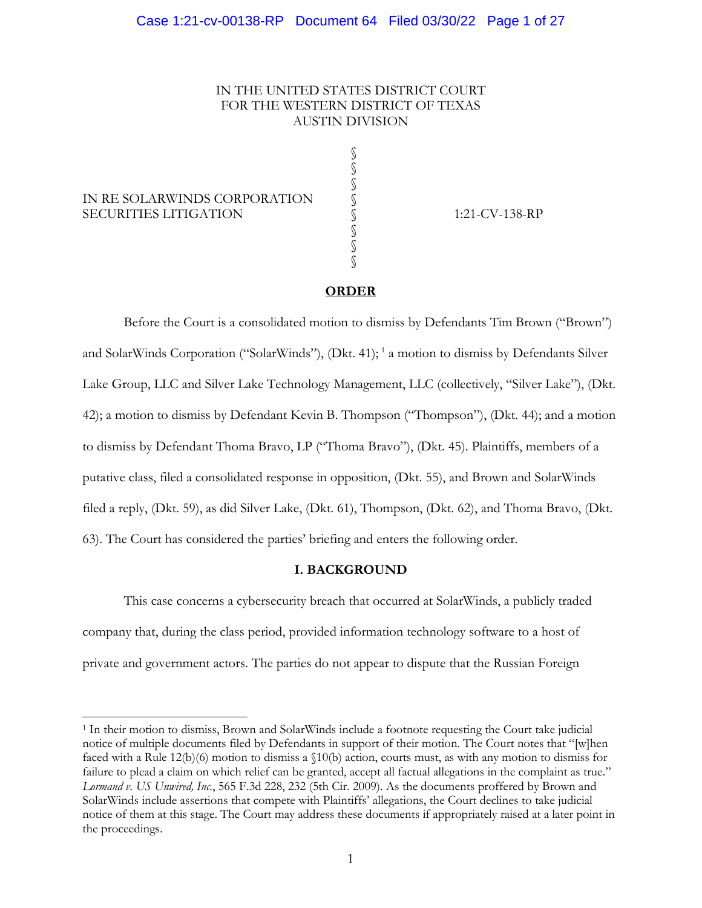### IN THE UNITED STATES DISTRICT COURT FOR THE WESTERN DISTRICT OF TEXAS AUSTIN DIVISION

§ § §

§ § §

### IN RE SOLARWINDS CORPORATION SECURITIES LITIGATION  $\S$  1:21-CV-138-RP

### **ORDER**

Before the Court is a consolidated motion to dismiss by Defendants Tim Brown ("Brown") and SolarWinds Corporation ("SolarWinds"), (Dkt. 41); <sup>1</sup> a motion to dismiss by Defendants Silver Lake Group, LLC and Silver Lake Technology Management, LLC (collectively, "Silver Lake"), (Dkt. 42); a motion to dismiss by Defendant Kevin B. Thompson ("Thompson"), (Dkt. 44); and a motion to dismiss by Defendant Thoma Bravo, LP ("Thoma Bravo"), (Dkt. 45). Plaintiffs, members of a putative class, filed a consolidated response in opposition, (Dkt. 55), and Brown and SolarWinds filed a reply, (Dkt. 59), as did Silver Lake, (Dkt. 61), Thompson, (Dkt. 62), and Thoma Bravo, (Dkt. 63). The Court has considered the parties' briefing and enters the following order.

### **I. BACKGROUND**

This case concerns a cybersecurity breach that occurred at SolarWinds, a publicly traded company that, during the class period, provided information technology software to a host of private and government actors. The parties do not appear to dispute that the Russian Foreign

<sup>1</sup> In their motion to dismiss, Brown and SolarWinds include a footnote requesting the Court take judicial notice of multiple documents filed by Defendants in support of their motion. The Court notes that "[w]hen faced with a Rule 12(b)(6) motion to dismiss a §10(b) action, courts must, as with any motion to dismiss for failure to plead a claim on which relief can be granted, accept all factual allegations in the complaint as true." *Lormand v. US Unwired, Inc.*, 565 F.3d 228, 232 (5th Cir. 2009). As the documents proffered by Brown and SolarWinds include assertions that compete with Plaintiffs' allegations, the Court declines to take judicial notice of them at this stage. The Court may address these documents if appropriately raised at a later point in the proceedings.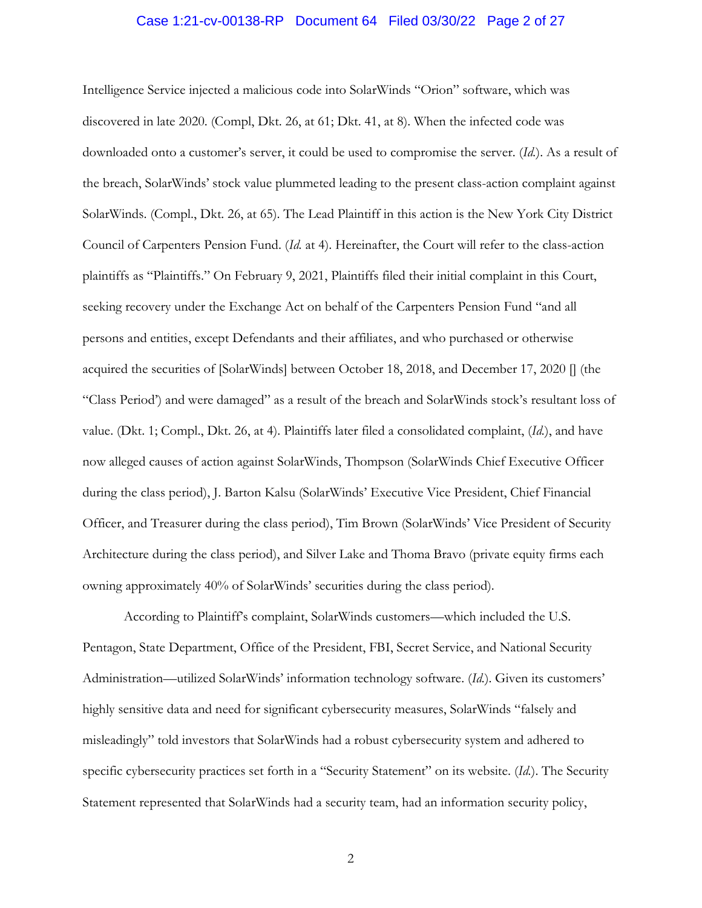# Case 1:21-cv-00138-RP Document 64 Filed 03/30/22 Page 2 of 27

Intelligence Service injected a malicious code into SolarWinds "Orion" software, which was discovered in late 2020. (Compl, Dkt. 26, at 61; Dkt. 41, at 8). When the infected code was downloaded onto a customer's server, it could be used to compromise the server. (*Id.*). As a result of the breach, SolarWinds' stock value plummeted leading to the present class-action complaint against SolarWinds. (Compl., Dkt. 26, at 65). The Lead Plaintiff in this action is the New York City District Council of Carpenters Pension Fund. (*Id.* at 4). Hereinafter, the Court will refer to the class-action plaintiffs as "Plaintiffs." On February 9, 2021, Plaintiffs filed their initial complaint in this Court, seeking recovery under the Exchange Act on behalf of the Carpenters Pension Fund "and all persons and entities, except Defendants and their affiliates, and who purchased or otherwise acquired the securities of [SolarWinds] between October 18, 2018, and December 17, 2020 [] (the "Class Period') and were damaged" as a result of the breach and SolarWinds stock's resultant loss of value. (Dkt. 1; Compl., Dkt. 26, at 4). Plaintiffs later filed a consolidated complaint, (*Id.*), and have now alleged causes of action against SolarWinds, Thompson (SolarWinds Chief Executive Officer during the class period), J. Barton Kalsu (SolarWinds' Executive Vice President, Chief Financial Officer, and Treasurer during the class period), Tim Brown (SolarWinds' Vice President of Security Architecture during the class period), and Silver Lake and Thoma Bravo (private equity firms each owning approximately 40% of SolarWinds' securities during the class period).

According to Plaintiff's complaint, SolarWinds customers—which included the U.S. Pentagon, State Department, Office of the President, FBI, Secret Service, and National Security Administration—utilized SolarWinds' information technology software. (*Id.*). Given its customers' highly sensitive data and need for significant cybersecurity measures, SolarWinds "falsely and misleadingly" told investors that SolarWinds had a robust cybersecurity system and adhered to specific cybersecurity practices set forth in a "Security Statement" on its website. (*Id.*). The Security Statement represented that SolarWinds had a security team, had an information security policy,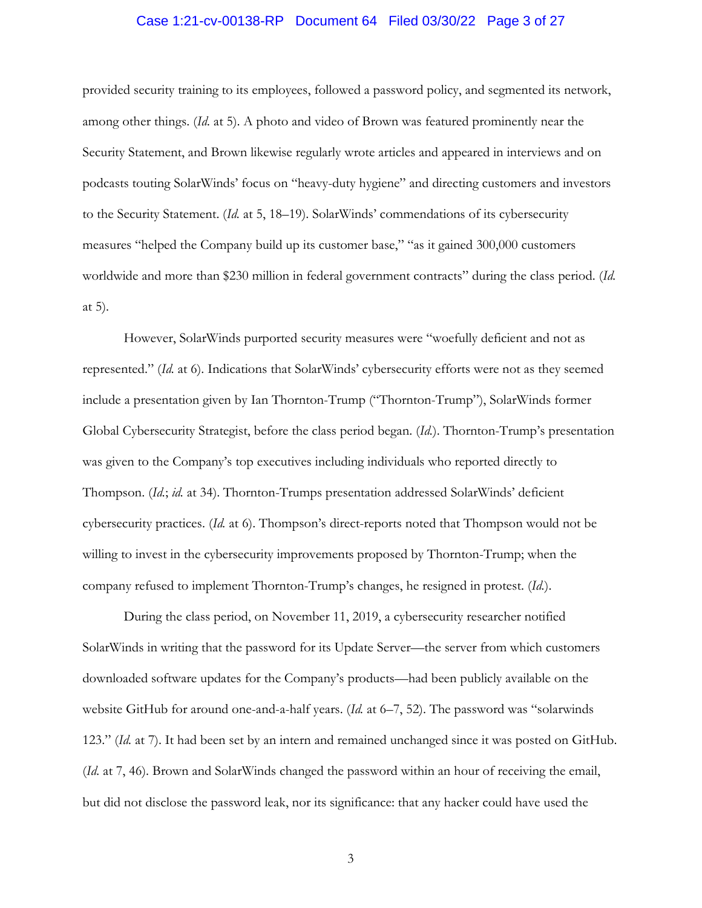### Case 1:21-cv-00138-RP Document 64 Filed 03/30/22 Page 3 of 27

provided security training to its employees, followed a password policy, and segmented its network, among other things. (*Id.* at 5). A photo and video of Brown was featured prominently near the Security Statement, and Brown likewise regularly wrote articles and appeared in interviews and on podcasts touting SolarWinds' focus on "heavy-duty hygiene" and directing customers and investors to the Security Statement. (*Id.* at 5, 18–19). SolarWinds' commendations of its cybersecurity measures "helped the Company build up its customer base," "as it gained 300,000 customers worldwide and more than \$230 million in federal government contracts" during the class period. (*Id.*  at 5).

However, SolarWinds purported security measures were "woefully deficient and not as represented." (*Id.* at 6). Indications that SolarWinds' cybersecurity efforts were not as they seemed include a presentation given by Ian Thornton-Trump ("Thornton-Trump"), SolarWinds former Global Cybersecurity Strategist, before the class period began. (*Id.*). Thornton-Trump's presentation was given to the Company's top executives including individuals who reported directly to Thompson. (*Id.*; *id.* at 34). Thornton-Trumps presentation addressed SolarWinds' deficient cybersecurity practices. (*Id.* at 6). Thompson's direct-reports noted that Thompson would not be willing to invest in the cybersecurity improvements proposed by Thornton-Trump; when the company refused to implement Thornton-Trump's changes, he resigned in protest. (*Id.*).

During the class period, on November 11, 2019, a cybersecurity researcher notified SolarWinds in writing that the password for its Update Server—the server from which customers downloaded software updates for the Company's products—had been publicly available on the website GitHub for around one-and-a-half years. (*Id.* at 6–7, 52). The password was "solarwinds 123." (*Id.* at 7). It had been set by an intern and remained unchanged since it was posted on GitHub. (*Id.* at 7, 46). Brown and SolarWinds changed the password within an hour of receiving the email, but did not disclose the password leak, nor its significance: that any hacker could have used the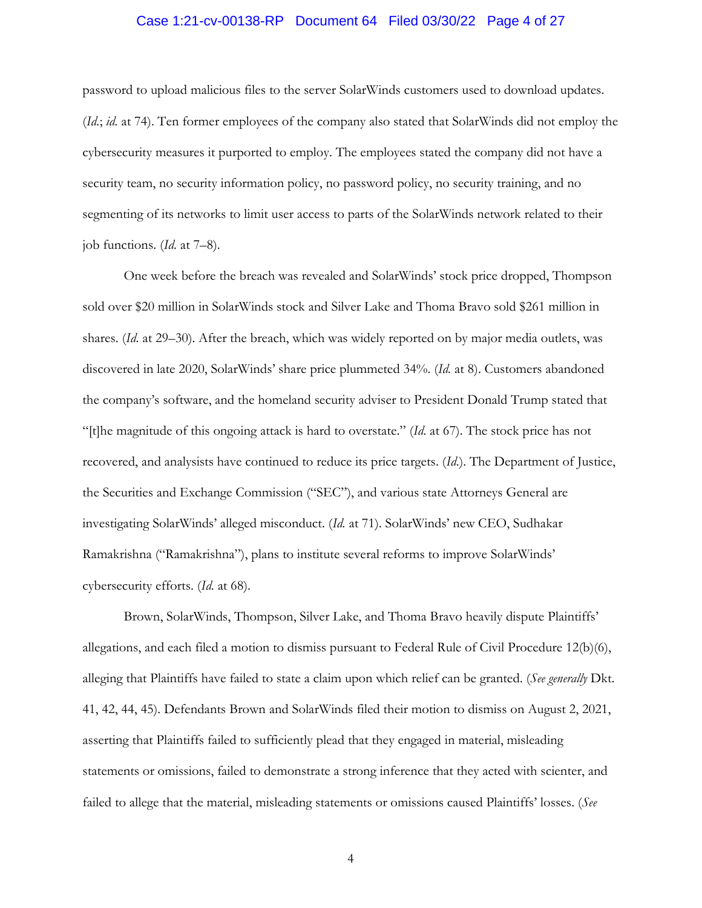# Case 1:21-cv-00138-RP Document 64 Filed 03/30/22 Page 4 of 27

password to upload malicious files to the server SolarWinds customers used to download updates. (*Id.*; *id.* at 74). Ten former employees of the company also stated that SolarWinds did not employ the cybersecurity measures it purported to employ. The employees stated the company did not have a security team, no security information policy, no password policy, no security training, and no segmenting of its networks to limit user access to parts of the SolarWinds network related to their job functions. (*Id.* at 7–8).

One week before the breach was revealed and SolarWinds' stock price dropped, Thompson sold over \$20 million in SolarWinds stock and Silver Lake and Thoma Bravo sold \$261 million in shares. (*Id.* at 29–30). After the breach, which was widely reported on by major media outlets, was discovered in late 2020, SolarWinds' share price plummeted 34%. (*Id.* at 8). Customers abandoned the company's software, and the homeland security adviser to President Donald Trump stated that "[t]he magnitude of this ongoing attack is hard to overstate." (*Id.* at 67). The stock price has not recovered, and analysists have continued to reduce its price targets. (*Id*.). The Department of Justice, the Securities and Exchange Commission ("SEC"), and various state Attorneys General are investigating SolarWinds' alleged misconduct. (*Id.* at 71). SolarWinds' new CEO, Sudhakar Ramakrishna ("Ramakrishna"), plans to institute several reforms to improve SolarWinds' cybersecurity efforts. (*Id.* at 68).

Brown, SolarWinds, Thompson, Silver Lake, and Thoma Bravo heavily dispute Plaintiffs' allegations, and each filed a motion to dismiss pursuant to Federal Rule of Civil Procedure 12(b)(6), alleging that Plaintiffs have failed to state a claim upon which relief can be granted. (*See generally* Dkt. 41, 42, 44, 45). Defendants Brown and SolarWinds filed their motion to dismiss on August 2, 2021, asserting that Plaintiffs failed to sufficiently plead that they engaged in material, misleading statements or omissions, failed to demonstrate a strong inference that they acted with scienter, and failed to allege that the material, misleading statements or omissions caused Plaintiffs' losses. (*See*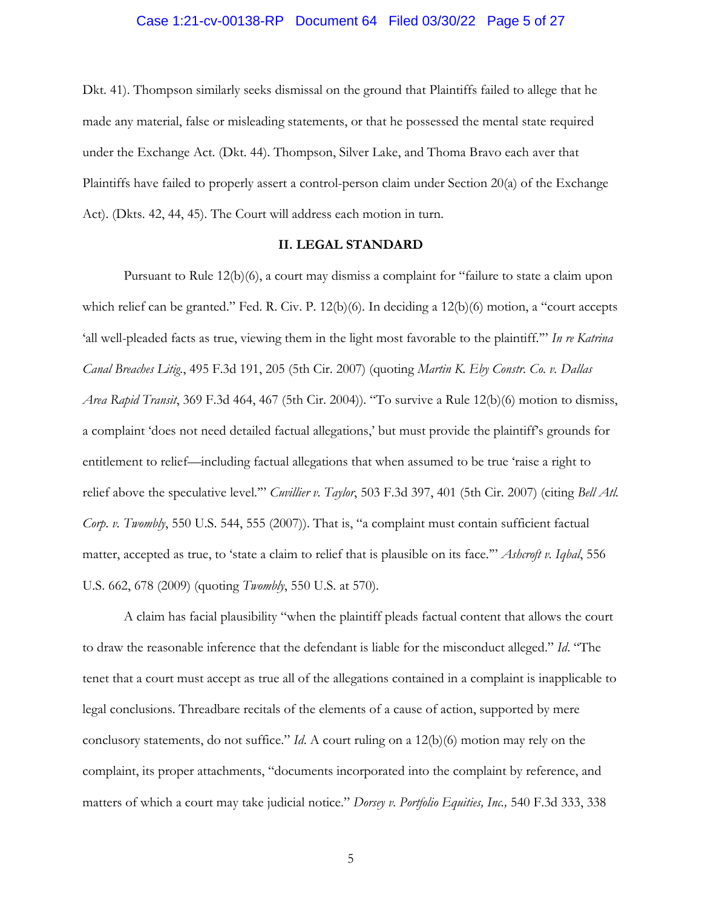# Case 1:21-cv-00138-RP Document 64 Filed 03/30/22 Page 5 of 27

Dkt. 41). Thompson similarly seeks dismissal on the ground that Plaintiffs failed to allege that he made any material, false or misleading statements, or that he possessed the mental state required under the Exchange Act. (Dkt. 44). Thompson, Silver Lake, and Thoma Bravo each aver that Plaintiffs have failed to properly assert a control-person claim under Section 20(a) of the Exchange Act). (Dkts. 42, 44, 45). The Court will address each motion in turn.

#### **II. LEGAL STANDARD**

Pursuant to Rule 12(b)(6), a court may dismiss a complaint for "failure to state a claim upon which relief can be granted." Fed. R. Civ. P. 12(b)(6). In deciding a 12(b)(6) motion, a "court accepts 'all well-pleaded facts as true, viewing them in the light most favorable to the plaintiff.'" *In re Katrina Canal Breaches Litig.*, 495 F.3d 191, 205 (5th Cir. 2007) (quoting *Martin K. Eby Constr. Co. v. Dallas Area Rapid Transit*, 369 F.3d 464, 467 (5th Cir. 2004)). "To survive a Rule 12(b)(6) motion to dismiss, a complaint 'does not need detailed factual allegations,' but must provide the plaintiff's grounds for entitlement to relief—including factual allegations that when assumed to be true 'raise a right to relief above the speculative level.'" *Cuvillier v. Taylor*, 503 F.3d 397, 401 (5th Cir. 2007) (citing *Bell Atl. Corp. v. Twombly*, 550 U.S. 544, 555 (2007)). That is, "a complaint must contain sufficient factual matter, accepted as true, to 'state a claim to relief that is plausible on its face.'" *Ashcroft v. Iqbal*, 556 U.S. 662, 678 (2009) (quoting *Twombly*, 550 U.S. at 570).

A claim has facial plausibility "when the plaintiff pleads factual content that allows the court to draw the reasonable inference that the defendant is liable for the misconduct alleged." *Id*. "The tenet that a court must accept as true all of the allegations contained in a complaint is inapplicable to legal conclusions. Threadbare recitals of the elements of a cause of action, supported by mere conclusory statements, do not suffice." *Id*. A court ruling on a 12(b)(6) motion may rely on the complaint, its proper attachments, "documents incorporated into the complaint by reference, and matters of which a court may take judicial notice." *Dorsey v. Portfolio Equities, Inc.,* 540 F.3d 333, 338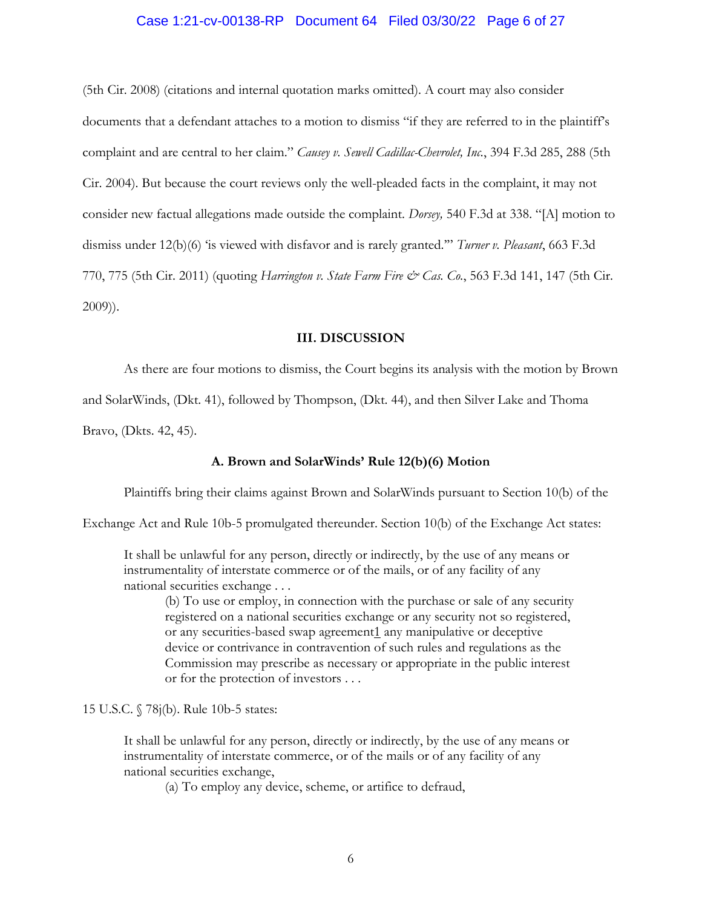### Case 1:21-cv-00138-RP Document 64 Filed 03/30/22 Page 6 of 27

(5th Cir. 2008) (citations and internal quotation marks omitted). A court may also consider documents that a defendant attaches to a motion to dismiss "if they are referred to in the plaintiff's complaint and are central to her claim." *Causey v. Sewell Cadillac-Chevrolet, Inc.*, 394 F.3d 285, 288 (5th Cir. 2004). But because the court reviews only the well-pleaded facts in the complaint, it may not consider new factual allegations made outside the complaint. *Dorsey,* 540 F.3d at 338. "[A] motion to dismiss under 12(b)(6) 'is viewed with disfavor and is rarely granted.'" *Turner v. Pleasant*, 663 F.3d 770, 775 (5th Cir. 2011) (quoting *Harrington v. State Farm Fire & Cas. Co.*, 563 F.3d 141, 147 (5th Cir. 2009)).

#### **III. DISCUSSION**

As there are four motions to dismiss, the Court begins its analysis with the motion by Brown and SolarWinds, (Dkt. 41), followed by Thompson, (Dkt. 44), and then Silver Lake and Thoma Bravo, (Dkts. 42, 45).

#### **A. Brown and SolarWinds' Rule 12(b)(6) Motion**

Plaintiffs bring their claims against Brown and SolarWinds pursuant to Section 10(b) of the

Exchange Act and Rule 10b-5 promulgated thereunder. Section 10(b) of the Exchange Act states:

It shall be unlawful for any person, directly or indirectly, by the use of any means or instrumentality of interstate commerce or of the mails, or of any facility of any national securities exchange . . .

(b) To use or employ, in connection with the purchase or sale of any security registered on a national securities exchange or any security not so registered, or any securities-based swap agreement1 any manipulative or deceptive device or contrivance in contravention of such rules and regulations as the Commission may prescribe as necessary or appropriate in the public interest or for the protection of investors . . .

15 U.S.C. § 78j(b). Rule 10b-5 states:

It shall be unlawful for any person, directly or indirectly, by the use of any means or instrumentality of interstate commerce, or of the mails or of any facility of any national securities exchange,

(a) To employ any device, scheme, or artifice to defraud,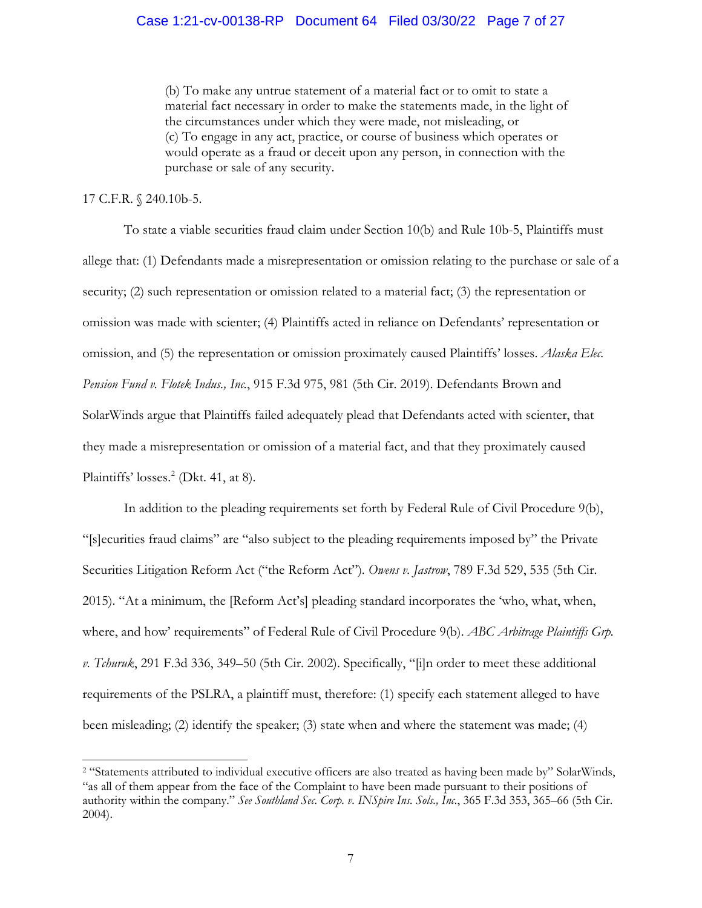(b) To make any untrue statement of a material fact or to omit to state a material fact necessary in order to make the statements made, in the light of the circumstances under which they were made, not misleading, or (c) To engage in any act, practice, or course of business which operates or would operate as a fraud or deceit upon any person, in connection with the purchase or sale of any security.

### 17 C.F.R. § 240.10b-5.

To state a viable securities fraud claim under Section 10(b) and Rule 10b-5, Plaintiffs must allege that: (1) Defendants made a misrepresentation or omission relating to the purchase or sale of a security; (2) such representation or omission related to a material fact; (3) the representation or omission was made with scienter; (4) Plaintiffs acted in reliance on Defendants' representation or omission, and (5) the representation or omission proximately caused Plaintiffs' losses. *Alaska Elec. Pension Fund v. Flotek Indus., Inc.*, 915 F.3d 975, 981 (5th Cir. 2019). Defendants Brown and SolarWinds argue that Plaintiffs failed adequately plead that Defendants acted with scienter, that they made a misrepresentation or omission of a material fact, and that they proximately caused Plaintiffs' losses.<sup>2</sup> (Dkt. 41, at 8).

In addition to the pleading requirements set forth by Federal Rule of Civil Procedure 9(b), "[s]ecurities fraud claims" are "also subject to the pleading requirements imposed by" the Private Securities Litigation Reform Act ("the Reform Act"). *Owens v. Jastrow*, 789 F.3d 529, 535 (5th Cir. 2015). "At a minimum, the [Reform Act's] pleading standard incorporates the 'who, what, when, where, and how' requirements" of Federal Rule of Civil Procedure 9(b). *ABC Arbitrage Plaintiffs Grp. v. Tchuruk*, 291 F.3d 336, 349–50 (5th Cir. 2002). Specifically, "[i]n order to meet these additional requirements of the PSLRA, a plaintiff must, therefore: (1) specify each statement alleged to have been misleading; (2) identify the speaker; (3) state when and where the statement was made; (4)

<sup>2 &</sup>quot;Statements attributed to individual executive officers are also treated as having been made by" SolarWinds, "as all of them appear from the face of the Complaint to have been made pursuant to their positions of authority within the company." *See Southland Sec. Corp. v. INSpire Ins. Sols., Inc.*, 365 F.3d 353, 365–66 (5th Cir. 2004).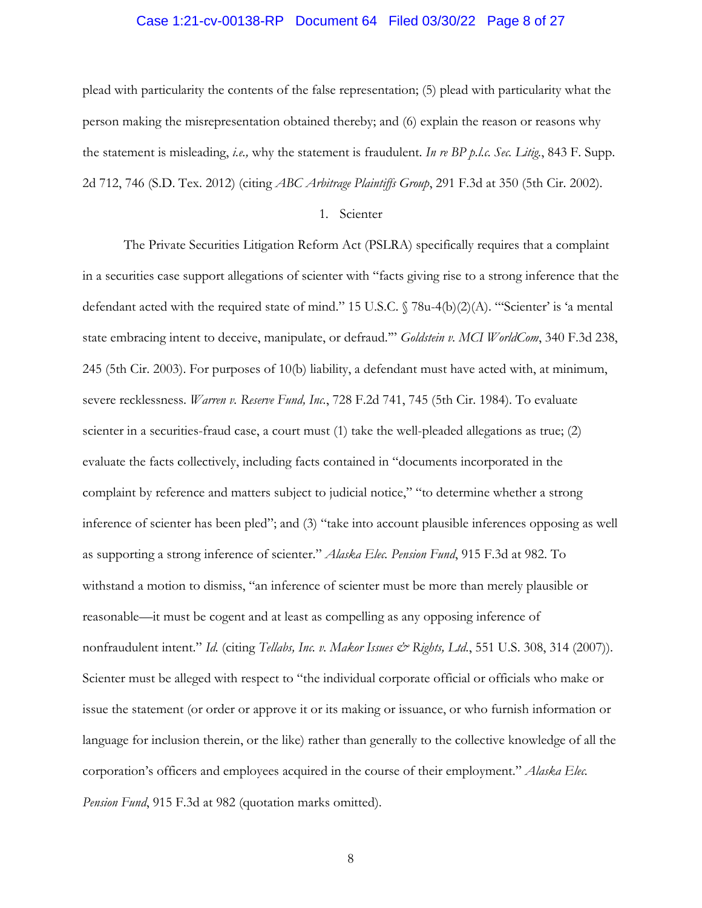# Case 1:21-cv-00138-RP Document 64 Filed 03/30/22 Page 8 of 27

plead with particularity the contents of the false representation; (5) plead with particularity what the person making the misrepresentation obtained thereby; and (6) explain the reason or reasons why the statement is misleading, *i.e.,* why the statement is fraudulent. *In re BP p.l.c. Sec. Litig.*, 843 F. Supp. 2d 712, 746 (S.D. Tex. 2012) (citing *ABC Arbitrage Plaintiffs Group*, 291 F.3d at 350 (5th Cir. 2002).

### 1. Scienter

The Private Securities Litigation Reform Act (PSLRA) specifically requires that a complaint in a securities case support allegations of scienter with "facts giving rise to a strong inference that the defendant acted with the required state of mind." 15 U.S.C.  $\sqrt{78u-4(b)(2)(A)}$ . "Scienter' is 'a mental state embracing intent to deceive, manipulate, or defraud.'" *Goldstein v. MCI WorldCom*, 340 F.3d 238, 245 (5th Cir. 2003). For purposes of 10(b) liability, a defendant must have acted with, at minimum, severe recklessness. *Warren v. Reserve Fund, Inc.*, 728 F.2d 741, 745 (5th Cir. 1984). To evaluate scienter in a securities-fraud case, a court must (1) take the well-pleaded allegations as true; (2) evaluate the facts collectively, including facts contained in "documents incorporated in the complaint by reference and matters subject to judicial notice," "to determine whether a strong inference of scienter has been pled"; and (3) "take into account plausible inferences opposing as well as supporting a strong inference of scienter." *Alaska Elec. Pension Fund*, 915 F.3d at 982. To withstand a motion to dismiss, "an inference of scienter must be more than merely plausible or reasonable—it must be cogent and at least as compelling as any opposing inference of nonfraudulent intent." *Id.* (citing *Tellabs, Inc. v. Makor Issues & Rights, Ltd.*, 551 U.S. 308, 314 (2007)). Scienter must be alleged with respect to "the individual corporate official or officials who make or issue the statement (or order or approve it or its making or issuance, or who furnish information or language for inclusion therein, or the like) rather than generally to the collective knowledge of all the corporation's officers and employees acquired in the course of their employment." *Alaska Elec. Pension Fund*, 915 F.3d at 982 (quotation marks omitted).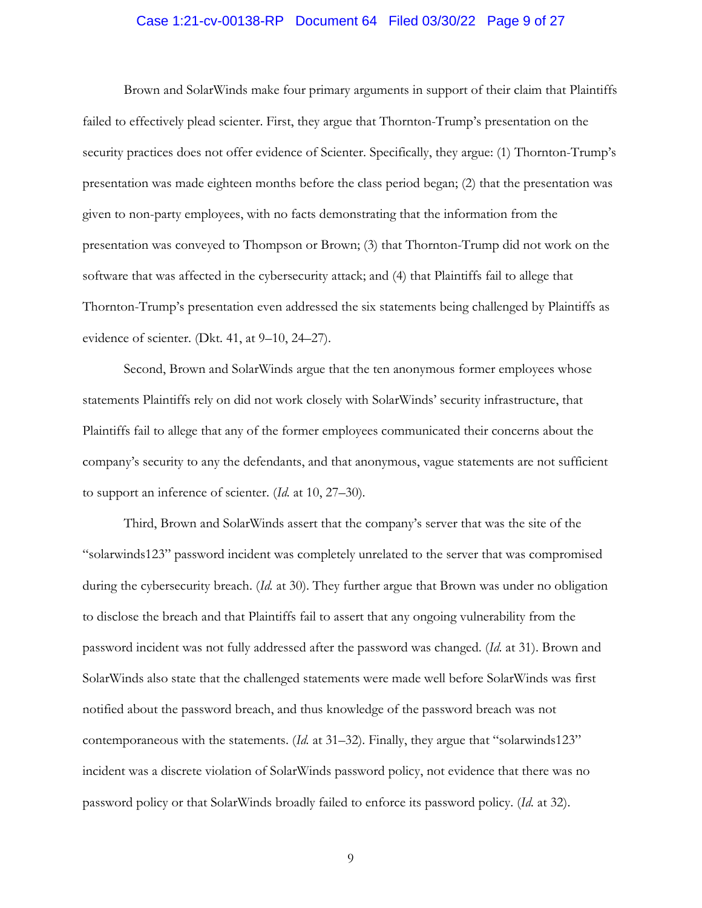### Case 1:21-cv-00138-RP Document 64 Filed 03/30/22 Page 9 of 27

Brown and SolarWinds make four primary arguments in support of their claim that Plaintiffs failed to effectively plead scienter. First, they argue that Thornton-Trump's presentation on the security practices does not offer evidence of Scienter. Specifically, they argue: (1) Thornton-Trump's presentation was made eighteen months before the class period began; (2) that the presentation was given to non-party employees, with no facts demonstrating that the information from the presentation was conveyed to Thompson or Brown; (3) that Thornton-Trump did not work on the software that was affected in the cybersecurity attack; and (4) that Plaintiffs fail to allege that Thornton-Trump's presentation even addressed the six statements being challenged by Plaintiffs as evidence of scienter. (Dkt. 41, at 9–10, 24–27).

Second, Brown and SolarWinds argue that the ten anonymous former employees whose statements Plaintiffs rely on did not work closely with SolarWinds' security infrastructure, that Plaintiffs fail to allege that any of the former employees communicated their concerns about the company's security to any the defendants, and that anonymous, vague statements are not sufficient to support an inference of scienter. (*Id.* at 10, 27–30).

Third, Brown and SolarWinds assert that the company's server that was the site of the "solarwinds123" password incident was completely unrelated to the server that was compromised during the cybersecurity breach. (*Id.* at 30). They further argue that Brown was under no obligation to disclose the breach and that Plaintiffs fail to assert that any ongoing vulnerability from the password incident was not fully addressed after the password was changed. (*Id.* at 31). Brown and SolarWinds also state that the challenged statements were made well before SolarWinds was first notified about the password breach, and thus knowledge of the password breach was not contemporaneous with the statements. (*Id.* at 31–32). Finally, they argue that "solarwinds123" incident was a discrete violation of SolarWinds password policy, not evidence that there was no password policy or that SolarWinds broadly failed to enforce its password policy. (*Id.* at 32).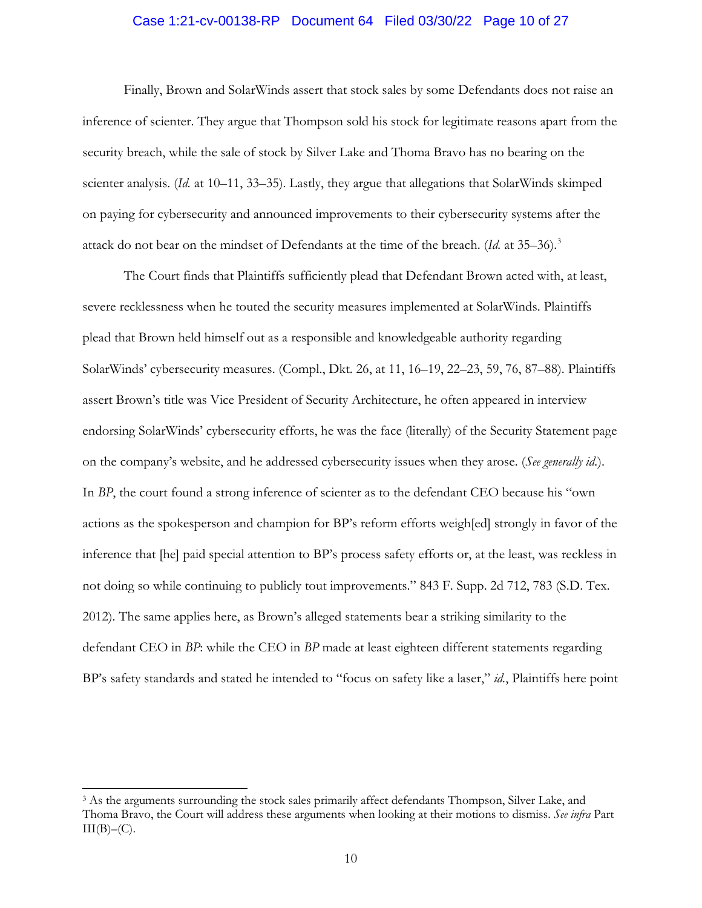### Case 1:21-cv-00138-RP Document 64 Filed 03/30/22 Page 10 of 27

Finally, Brown and SolarWinds assert that stock sales by some Defendants does not raise an inference of scienter. They argue that Thompson sold his stock for legitimate reasons apart from the security breach, while the sale of stock by Silver Lake and Thoma Bravo has no bearing on the scienter analysis. (*Id.* at 10–11, 33–35). Lastly, they argue that allegations that SolarWinds skimped on paying for cybersecurity and announced improvements to their cybersecurity systems after the attack do not bear on the mindset of Defendants at the time of the breach. (*Id.* at 35–36).3

The Court finds that Plaintiffs sufficiently plead that Defendant Brown acted with, at least, severe recklessness when he touted the security measures implemented at SolarWinds. Plaintiffs plead that Brown held himself out as a responsible and knowledgeable authority regarding SolarWinds' cybersecurity measures. (Compl., Dkt. 26, at 11, 16–19, 22–23, 59, 76, 87–88). Plaintiffs assert Brown's title was Vice President of Security Architecture, he often appeared in interview endorsing SolarWinds' cybersecurity efforts, he was the face (literally) of the Security Statement page on the company's website, and he addressed cybersecurity issues when they arose. (*See generally id.*). In *BP*, the court found a strong inference of scienter as to the defendant CEO because his "own actions as the spokesperson and champion for BP's reform efforts weigh[ed] strongly in favor of the inference that [he] paid special attention to BP's process safety efforts or, at the least, was reckless in not doing so while continuing to publicly tout improvements." 843 F. Supp. 2d 712, 783 (S.D. Tex. 2012). The same applies here, as Brown's alleged statements bear a striking similarity to the defendant CEO in *BP*: while the CEO in *BP* made at least eighteen different statements regarding BP's safety standards and stated he intended to "focus on safety like a laser," *id.*, Plaintiffs here point

<sup>3</sup> As the arguments surrounding the stock sales primarily affect defendants Thompson, Silver Lake, and Thoma Bravo, the Court will address these arguments when looking at their motions to dismiss. *See infra* Part  $III(B)–(C)$ .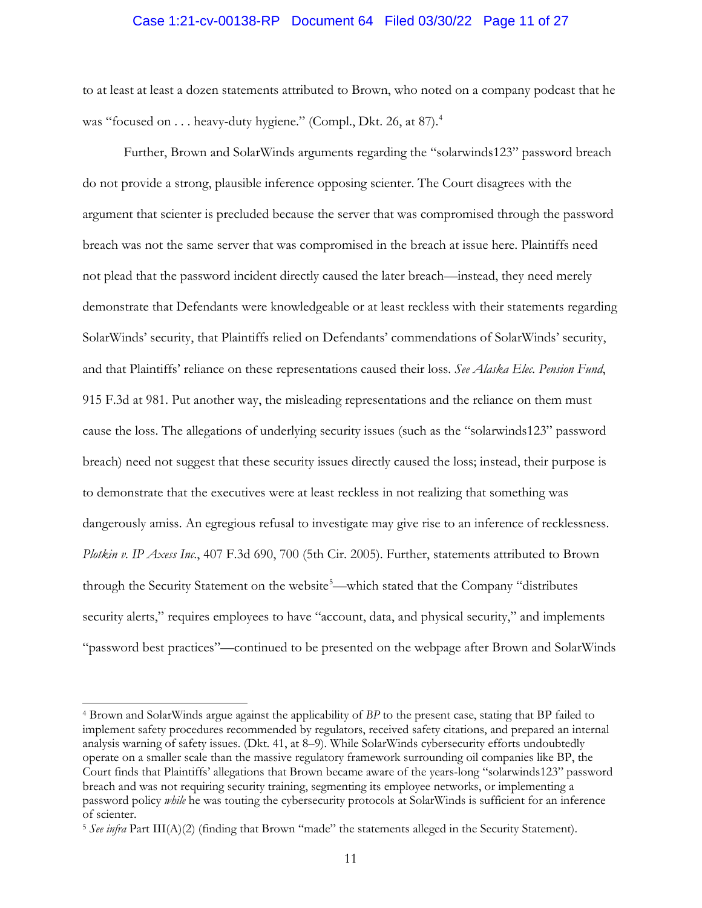#### Case 1:21-cv-00138-RP Document 64 Filed 03/30/22 Page 11 of 27

to at least at least a dozen statements attributed to Brown, who noted on a company podcast that he was "focused on . . . heavy-duty hygiene." (Compl., Dkt. 26, at 87).<sup>4</sup>

Further, Brown and SolarWinds arguments regarding the "solarwinds123" password breach do not provide a strong, plausible inference opposing scienter. The Court disagrees with the argument that scienter is precluded because the server that was compromised through the password breach was not the same server that was compromised in the breach at issue here. Plaintiffs need not plead that the password incident directly caused the later breach—instead, they need merely demonstrate that Defendants were knowledgeable or at least reckless with their statements regarding SolarWinds' security, that Plaintiffs relied on Defendants' commendations of SolarWinds' security, and that Plaintiffs' reliance on these representations caused their loss. *See Alaska Elec. Pension Fund*, 915 F.3d at 981. Put another way, the misleading representations and the reliance on them must cause the loss. The allegations of underlying security issues (such as the "solarwinds123" password breach) need not suggest that these security issues directly caused the loss; instead, their purpose is to demonstrate that the executives were at least reckless in not realizing that something was dangerously amiss. An egregious refusal to investigate may give rise to an inference of recklessness. *Plotkin v. IP Axess Inc*., 407 F.3d 690, 700 (5th Cir. 2005). Further, statements attributed to Brown through the Security Statement on the website<sup>5</sup>—which stated that the Company "distributes security alerts," requires employees to have "account, data, and physical security," and implements "password best practices"—continued to be presented on the webpage after Brown and SolarWinds

<sup>4</sup> Brown and SolarWinds argue against the applicability of *BP* to the present case, stating that BP failed to implement safety procedures recommended by regulators, received safety citations, and prepared an internal analysis warning of safety issues. (Dkt. 41, at 8–9). While SolarWinds cybersecurity efforts undoubtedly operate on a smaller scale than the massive regulatory framework surrounding oil companies like BP, the Court finds that Plaintiffs' allegations that Brown became aware of the years-long "solarwinds123" password breach and was not requiring security training, segmenting its employee networks, or implementing a password policy *while* he was touting the cybersecurity protocols at SolarWinds is sufficient for an inference of scienter.

<sup>5</sup> *See infra* Part III(A)(2) (finding that Brown "made" the statements alleged in the Security Statement).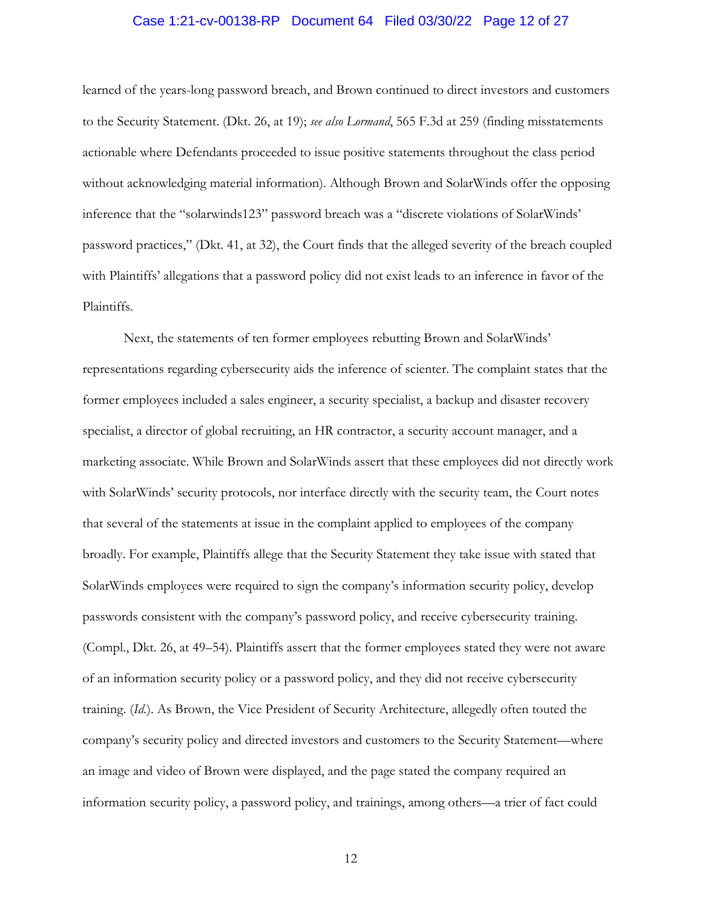### Case 1:21-cv-00138-RP Document 64 Filed 03/30/22 Page 12 of 27

learned of the years-long password breach, and Brown continued to direct investors and customers to the Security Statement. (Dkt. 26, at 19); *see also Lormand*, 565 F.3d at 259 (finding misstatements actionable where Defendants proceeded to issue positive statements throughout the class period without acknowledging material information). Although Brown and SolarWinds offer the opposing inference that the "solarwinds123" password breach was a "discrete violations of SolarWinds' password practices," (Dkt. 41, at 32), the Court finds that the alleged severity of the breach coupled with Plaintiffs' allegations that a password policy did not exist leads to an inference in favor of the Plaintiffs.

Next, the statements of ten former employees rebutting Brown and SolarWinds' representations regarding cybersecurity aids the inference of scienter. The complaint states that the former employees included a sales engineer, a security specialist, a backup and disaster recovery specialist, a director of global recruiting, an HR contractor, a security account manager, and a marketing associate. While Brown and SolarWinds assert that these employees did not directly work with SolarWinds' security protocols, nor interface directly with the security team, the Court notes that several of the statements at issue in the complaint applied to employees of the company broadly. For example, Plaintiffs allege that the Security Statement they take issue with stated that SolarWinds employees were required to sign the company's information security policy, develop passwords consistent with the company's password policy, and receive cybersecurity training. (Compl., Dkt. 26, at 49–54). Plaintiffs assert that the former employees stated they were not aware of an information security policy or a password policy, and they did not receive cybersecurity training. (*Id.*). As Brown, the Vice President of Security Architecture, allegedly often touted the company's security policy and directed investors and customers to the Security Statement—where an image and video of Brown were displayed, and the page stated the company required an information security policy, a password policy, and trainings, among others—a trier of fact could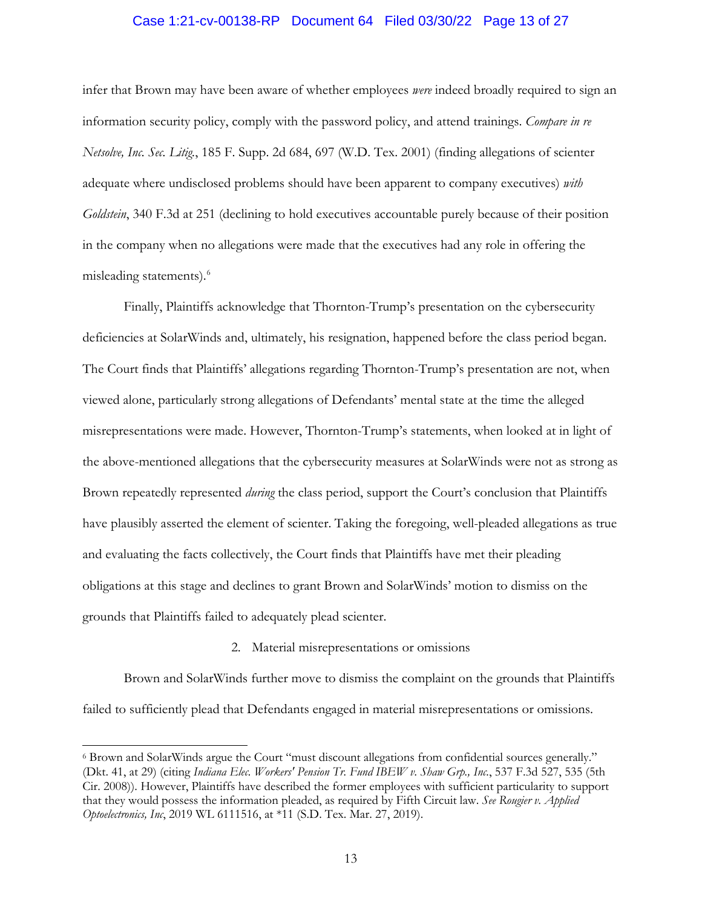### Case 1:21-cv-00138-RP Document 64 Filed 03/30/22 Page 13 of 27

infer that Brown may have been aware of whether employees *were* indeed broadly required to sign an information security policy, comply with the password policy, and attend trainings. *Compare in re Netsolve, Inc. Sec. Litig.*, 185 F. Supp. 2d 684, 697 (W.D. Tex. 2001) (finding allegations of scienter adequate where undisclosed problems should have been apparent to company executives) *with Goldstein*, 340 F.3d at 251 (declining to hold executives accountable purely because of their position in the company when no allegations were made that the executives had any role in offering the misleading statements). 6

Finally, Plaintiffs acknowledge that Thornton-Trump's presentation on the cybersecurity deficiencies at SolarWinds and, ultimately, his resignation, happened before the class period began. The Court finds that Plaintiffs' allegations regarding Thornton-Trump's presentation are not, when viewed alone, particularly strong allegations of Defendants' mental state at the time the alleged misrepresentations were made. However, Thornton-Trump's statements, when looked at in light of the above-mentioned allegations that the cybersecurity measures at SolarWinds were not as strong as Brown repeatedly represented *during* the class period, support the Court's conclusion that Plaintiffs have plausibly asserted the element of scienter. Taking the foregoing, well-pleaded allegations as true and evaluating the facts collectively, the Court finds that Plaintiffs have met their pleading obligations at this stage and declines to grant Brown and SolarWinds' motion to dismiss on the grounds that Plaintiffs failed to adequately plead scienter.

#### 2. Material misrepresentations or omissions

Brown and SolarWinds further move to dismiss the complaint on the grounds that Plaintiffs failed to sufficiently plead that Defendants engaged in material misrepresentations or omissions.

<sup>6</sup> Brown and SolarWinds argue the Court "must discount allegations from confidential sources generally." (Dkt. 41, at 29) (citing *Indiana Elec. Workers' Pension Tr. Fund IBEW v. Shaw Grp., Inc.*, 537 F.3d 527, 535 (5th Cir. 2008)). However, Plaintiffs have described the former employees with sufficient particularity to support that they would possess the information pleaded, as required by Fifth Circuit law. *See Rougier v. Applied Optoelectronics, Inc*, 2019 WL 6111516, at \*11 (S.D. Tex. Mar. 27, 2019).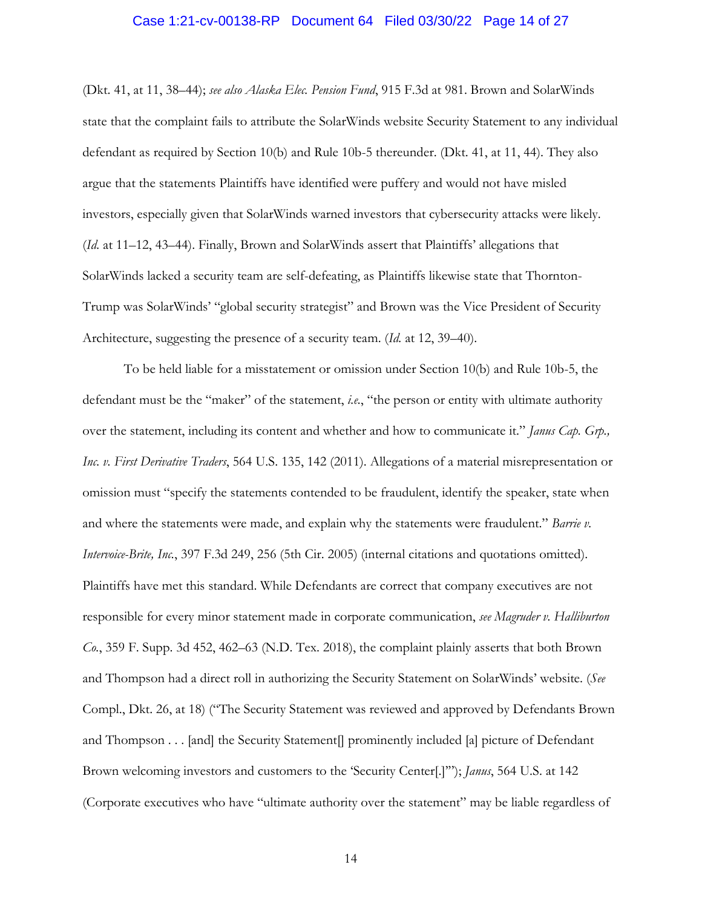# Case 1:21-cv-00138-RP Document 64 Filed 03/30/22 Page 14 of 27

(Dkt. 41, at 11, 38–44); *see also Alaska Elec. Pension Fund*, 915 F.3d at 981. Brown and SolarWinds state that the complaint fails to attribute the SolarWinds website Security Statement to any individual defendant as required by Section 10(b) and Rule 10b-5 thereunder. (Dkt. 41, at 11, 44). They also argue that the statements Plaintiffs have identified were puffery and would not have misled investors, especially given that SolarWinds warned investors that cybersecurity attacks were likely. (*Id.* at 11–12, 43–44). Finally, Brown and SolarWinds assert that Plaintiffs' allegations that SolarWinds lacked a security team are self-defeating, as Plaintiffs likewise state that Thornton-Trump was SolarWinds' "global security strategist" and Brown was the Vice President of Security Architecture, suggesting the presence of a security team. (*Id.* at 12, 39–40).

To be held liable for a misstatement or omission under Section 10(b) and Rule 10b-5, the defendant must be the "maker" of the statement, *i.e.*, "the person or entity with ultimate authority over the statement, including its content and whether and how to communicate it." *Janus Cap. Grp., Inc. v. First Derivative Traders*, 564 U.S. 135, 142 (2011). Allegations of a material misrepresentation or omission must "specify the statements contended to be fraudulent, identify the speaker, state when and where the statements were made, and explain why the statements were fraudulent." *Barrie v. Intervoice-Brite, Inc.*, 397 F.3d 249, 256 (5th Cir. 2005) (internal citations and quotations omitted). Plaintiffs have met this standard. While Defendants are correct that company executives are not responsible for every minor statement made in corporate communication, *see Magruder v. Halliburton Co.*, 359 F. Supp. 3d 452, 462–63 (N.D. Tex. 2018), the complaint plainly asserts that both Brown and Thompson had a direct roll in authorizing the Security Statement on SolarWinds' website. (*See*  Compl., Dkt. 26, at 18) ("The Security Statement was reviewed and approved by Defendants Brown and Thompson . . . [and] the Security Statement<sup>[</sup>] prominently included [a] picture of Defendant Brown welcoming investors and customers to the 'Security Center[.]'"); *Janus*, 564 U.S. at 142 (Corporate executives who have "ultimate authority over the statement" may be liable regardless of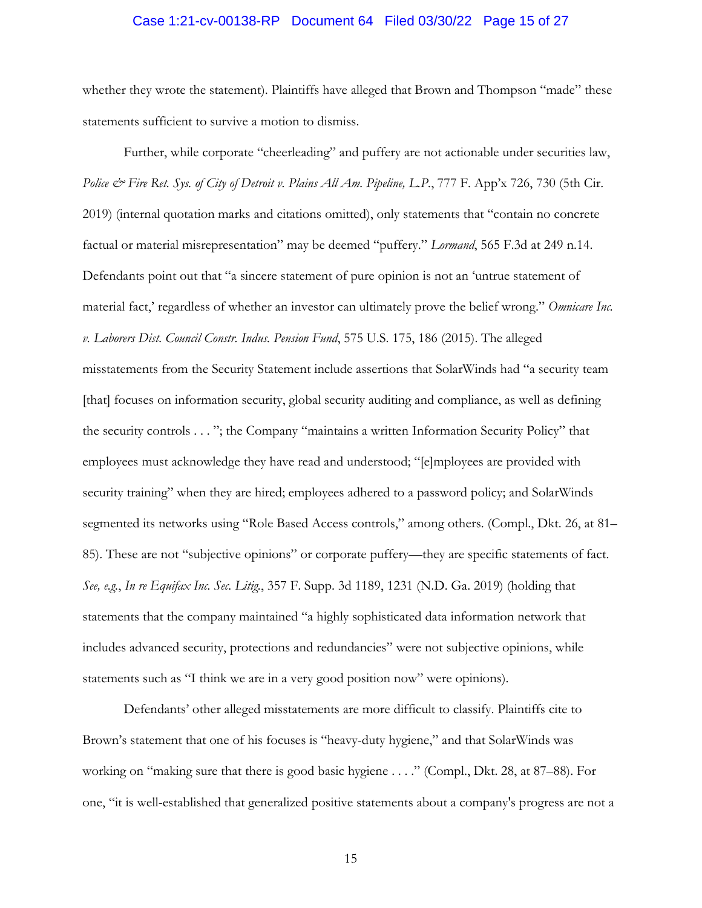# Case 1:21-cv-00138-RP Document 64 Filed 03/30/22 Page 15 of 27

whether they wrote the statement). Plaintiffs have alleged that Brown and Thompson "made" these statements sufficient to survive a motion to dismiss.

Further, while corporate "cheerleading" and puffery are not actionable under securities law, *Police & Fire Ret. Sys. of City of Detroit v. Plains All Am. Pipeline, L.P.*, 777 F. App'x 726, 730 (5th Cir. 2019) (internal quotation marks and citations omitted), only statements that "contain no concrete factual or material misrepresentation" may be deemed "puffery." *Lormand*, 565 F.3d at 249 n.14. Defendants point out that "a sincere statement of pure opinion is not an 'untrue statement of material fact,' regardless of whether an investor can ultimately prove the belief wrong." *Omnicare Inc. v. Laborers Dist. Council Constr. Indus. Pension Fund*, 575 U.S. 175, 186 (2015). The alleged misstatements from the Security Statement include assertions that SolarWinds had "a security team [that] focuses on information security, global security auditing and compliance, as well as defining the security controls . . . "; the Company "maintains a written Information Security Policy" that employees must acknowledge they have read and understood; "[e]mployees are provided with security training" when they are hired; employees adhered to a password policy; and SolarWinds segmented its networks using "Role Based Access controls," among others. (Compl., Dkt. 26, at 81– 85). These are not "subjective opinions" or corporate puffery—they are specific statements of fact. *See, e.g.*, *In re Equifax Inc. Sec. Litig.*, 357 F. Supp. 3d 1189, 1231 (N.D. Ga. 2019) (holding that statements that the company maintained "a highly sophisticated data information network that includes advanced security, protections and redundancies" were not subjective opinions, while statements such as "I think we are in a very good position now" were opinions).

Defendants' other alleged misstatements are more difficult to classify. Plaintiffs cite to Brown's statement that one of his focuses is "heavy-duty hygiene," and that SolarWinds was working on "making sure that there is good basic hygiene . . . ." (Compl., Dkt. 28, at 87–88). For one, "it is well-established that generalized positive statements about a company's progress are not a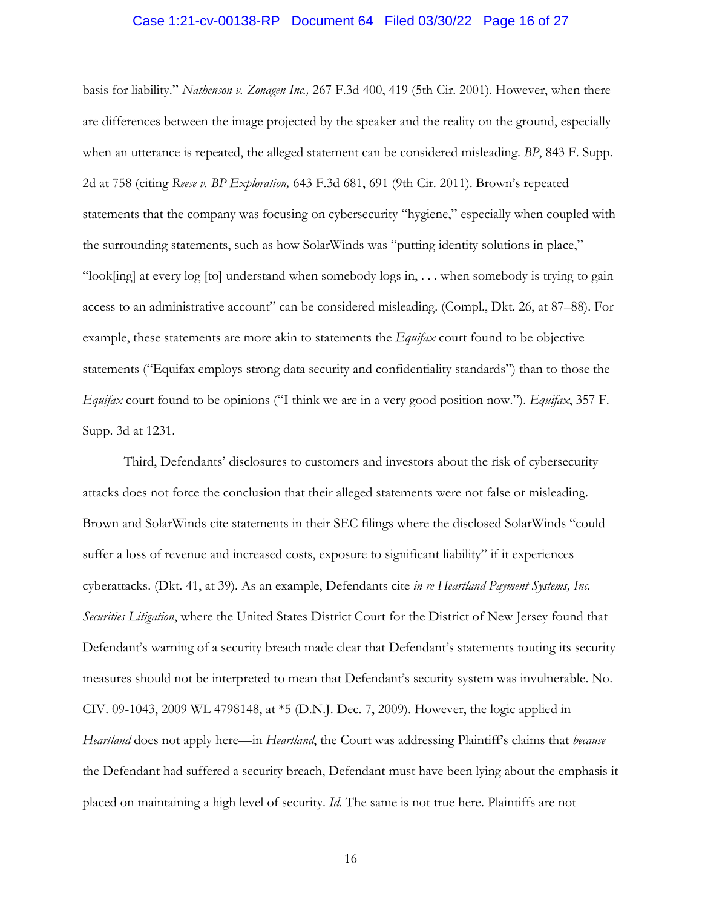# Case 1:21-cv-00138-RP Document 64 Filed 03/30/22 Page 16 of 27

basis for liability." *Nathenson v. Zonagen Inc.,* 267 F.3d 400, 419 (5th Cir. 2001). However, when there are differences between the image projected by the speaker and the reality on the ground, especially when an utterance is repeated, the alleged statement can be considered misleading. *BP*, 843 F. Supp. 2d at 758 (citing *Reese v. BP Exploration,* 643 F.3d 681, 691 (9th Cir. 2011). Brown's repeated statements that the company was focusing on cybersecurity "hygiene," especially when coupled with the surrounding statements, such as how SolarWinds was "putting identity solutions in place," "look[ing] at every log [to] understand when somebody logs in, . . . when somebody is trying to gain access to an administrative account" can be considered misleading. (Compl., Dkt. 26, at 87–88). For example, these statements are more akin to statements the *Equifax* court found to be objective statements ("Equifax employs strong data security and confidentiality standards") than to those the *Equifax* court found to be opinions ("I think we are in a very good position now."). *Equifax*, 357 F. Supp. 3d at 1231.

Third, Defendants' disclosures to customers and investors about the risk of cybersecurity attacks does not force the conclusion that their alleged statements were not false or misleading. Brown and SolarWinds cite statements in their SEC filings where the disclosed SolarWinds "could suffer a loss of revenue and increased costs, exposure to significant liability" if it experiences cyberattacks. (Dkt. 41, at 39). As an example, Defendants cite *in re Heartland Payment Systems, Inc. Securities Litigation*, where the United States District Court for the District of New Jersey found that Defendant's warning of a security breach made clear that Defendant's statements touting its security measures should not be interpreted to mean that Defendant's security system was invulnerable. No. CIV. 09-1043, 2009 WL 4798148, at \*5 (D.N.J. Dec. 7, 2009). However, the logic applied in *Heartland* does not apply here—in *Heartland*, the Court was addressing Plaintiff's claims that *because* the Defendant had suffered a security breach, Defendant must have been lying about the emphasis it placed on maintaining a high level of security. *Id.* The same is not true here. Plaintiffs are not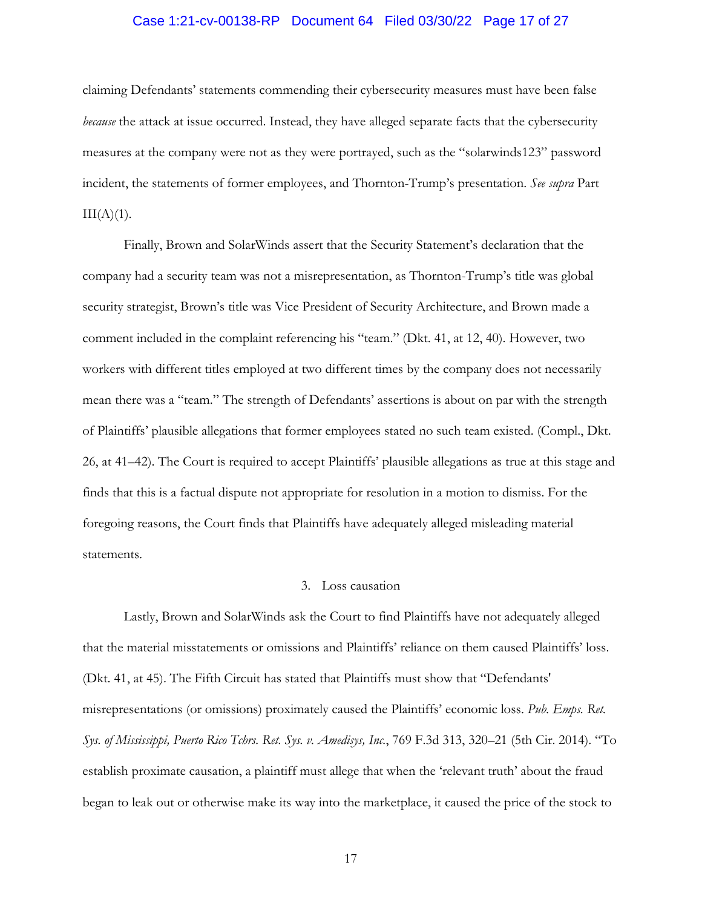# Case 1:21-cv-00138-RP Document 64 Filed 03/30/22 Page 17 of 27

claiming Defendants' statements commending their cybersecurity measures must have been false *because* the attack at issue occurred. Instead, they have alleged separate facts that the cybersecurity measures at the company were not as they were portrayed, such as the "solarwinds123" password incident, the statements of former employees, and Thornton-Trump's presentation. *See supra* Part  $III(A)(1)$ .

Finally, Brown and SolarWinds assert that the Security Statement's declaration that the company had a security team was not a misrepresentation, as Thornton-Trump's title was global security strategist, Brown's title was Vice President of Security Architecture, and Brown made a comment included in the complaint referencing his "team." (Dkt. 41, at 12, 40). However, two workers with different titles employed at two different times by the company does not necessarily mean there was a "team." The strength of Defendants' assertions is about on par with the strength of Plaintiffs' plausible allegations that former employees stated no such team existed. (Compl., Dkt. 26, at 41–42). The Court is required to accept Plaintiffs' plausible allegations as true at this stage and finds that this is a factual dispute not appropriate for resolution in a motion to dismiss. For the foregoing reasons, the Court finds that Plaintiffs have adequately alleged misleading material statements.

### 3. Loss causation

Lastly, Brown and SolarWinds ask the Court to find Plaintiffs have not adequately alleged that the material misstatements or omissions and Plaintiffs' reliance on them caused Plaintiffs' loss. (Dkt. 41, at 45). The Fifth Circuit has stated that Plaintiffs must show that "Defendants' misrepresentations (or omissions) proximately caused the Plaintiffs' economic loss. *Pub. Emps. Ret. Sys. of Mississippi, Puerto Rico Tchrs. Ret. Sys. v. Amedisys, Inc.*, 769 F.3d 313, 320–21 (5th Cir. 2014). "To establish proximate causation, a plaintiff must allege that when the 'relevant truth' about the fraud began to leak out or otherwise make its way into the marketplace, it caused the price of the stock to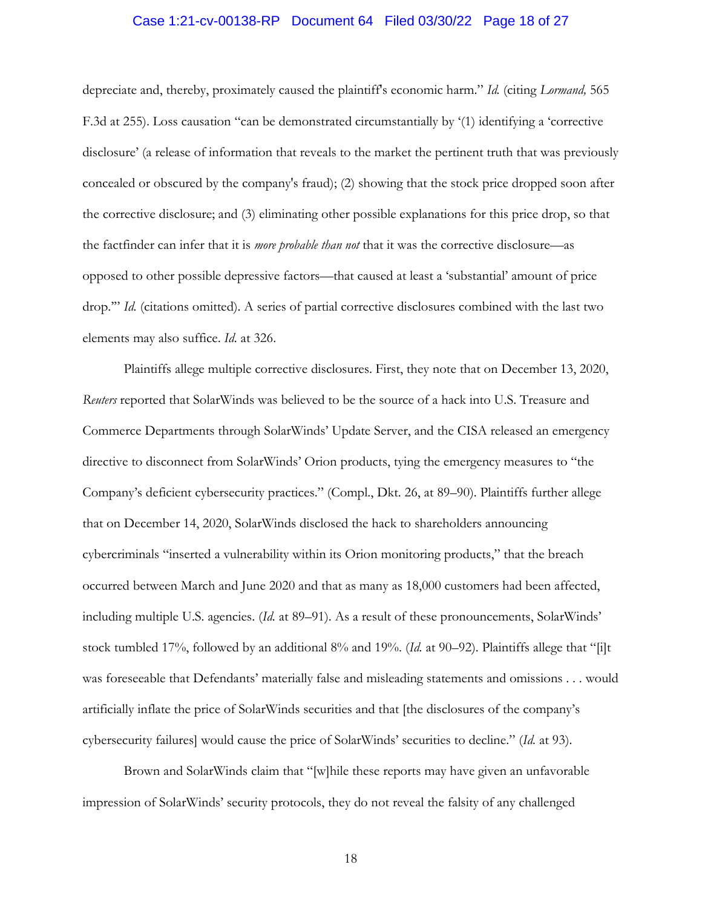# Case 1:21-cv-00138-RP Document 64 Filed 03/30/22 Page 18 of 27

depreciate and, thereby, proximately caused the plaintiff's economic harm." *Id.* (citing *Lormand,* 565 F.3d at 255). Loss causation "can be demonstrated circumstantially by '(1) identifying a 'corrective disclosure' (a release of information that reveals to the market the pertinent truth that was previously concealed or obscured by the company's fraud); (2) showing that the stock price dropped soon after the corrective disclosure; and (3) eliminating other possible explanations for this price drop, so that the factfinder can infer that it is *more probable than not* that it was the corrective disclosure—as opposed to other possible depressive factors—that caused at least a 'substantial' amount of price drop.'" *Id.* (citations omitted). A series of partial corrective disclosures combined with the last two elements may also suffice. *Id.* at 326.

Plaintiffs allege multiple corrective disclosures. First, they note that on December 13, 2020, *Reuters* reported that SolarWinds was believed to be the source of a hack into U.S. Treasure and Commerce Departments through SolarWinds' Update Server, and the CISA released an emergency directive to disconnect from SolarWinds' Orion products, tying the emergency measures to "the Company's deficient cybersecurity practices." (Compl., Dkt. 26, at 89–90). Plaintiffs further allege that on December 14, 2020, SolarWinds disclosed the hack to shareholders announcing cybercriminals "inserted a vulnerability within its Orion monitoring products," that the breach occurred between March and June 2020 and that as many as 18,000 customers had been affected, including multiple U.S. agencies. (*Id.* at 89–91). As a result of these pronouncements, SolarWinds' stock tumbled 17%, followed by an additional 8% and 19%. (*Id.* at 90–92). Plaintiffs allege that "[i]t was foreseeable that Defendants' materially false and misleading statements and omissions . . . would artificially inflate the price of SolarWinds securities and that [the disclosures of the company's cybersecurity failures] would cause the price of SolarWinds' securities to decline." (*Id.* at 93).

Brown and SolarWinds claim that "[w]hile these reports may have given an unfavorable impression of SolarWinds' security protocols, they do not reveal the falsity of any challenged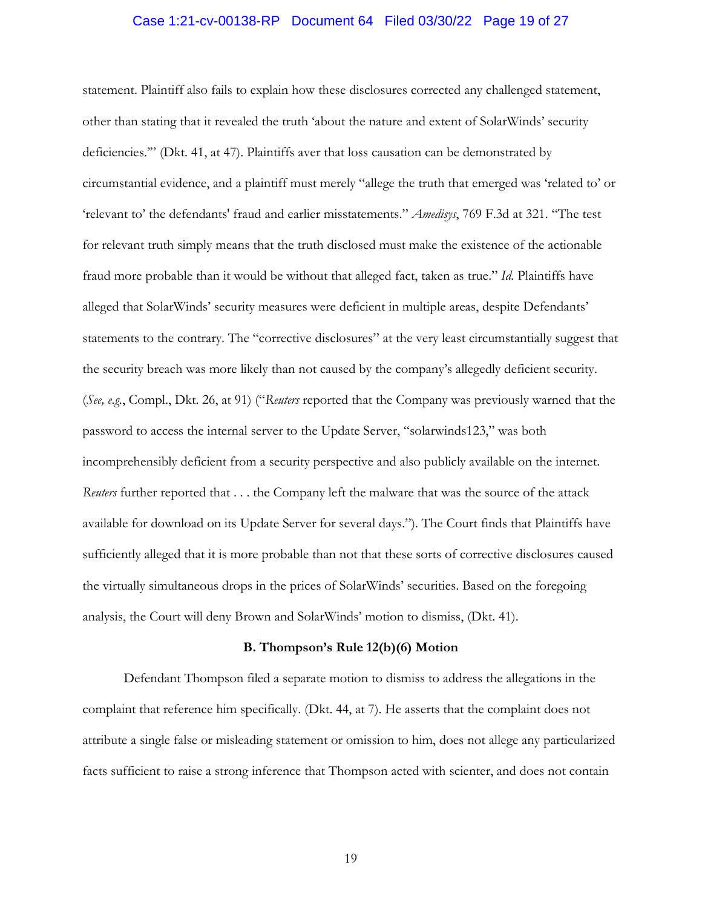# Case 1:21-cv-00138-RP Document 64 Filed 03/30/22 Page 19 of 27

statement. Plaintiff also fails to explain how these disclosures corrected any challenged statement, other than stating that it revealed the truth 'about the nature and extent of SolarWinds' security deficiencies.'" (Dkt. 41, at 47). Plaintiffs aver that loss causation can be demonstrated by circumstantial evidence, and a plaintiff must merely "allege the truth that emerged was 'related to' or 'relevant to' the defendants' fraud and earlier misstatements." *Amedisys*, 769 F.3d at 321. "The test for relevant truth simply means that the truth disclosed must make the existence of the actionable fraud more probable than it would be without that alleged fact, taken as true." *Id.* Plaintiffs have alleged that SolarWinds' security measures were deficient in multiple areas, despite Defendants' statements to the contrary. The "corrective disclosures" at the very least circumstantially suggest that the security breach was more likely than not caused by the company's allegedly deficient security. (*See, e.g.*, Compl., Dkt. 26, at 91) ("*Reuters* reported that the Company was previously warned that the password to access the internal server to the Update Server, "solarwinds123," was both incomprehensibly deficient from a security perspective and also publicly available on the internet. *Reuters* further reported that . . . the Company left the malware that was the source of the attack available for download on its Update Server for several days."). The Court finds that Plaintiffs have sufficiently alleged that it is more probable than not that these sorts of corrective disclosures caused the virtually simultaneous drops in the prices of SolarWinds' securities. Based on the foregoing analysis, the Court will deny Brown and SolarWinds' motion to dismiss, (Dkt. 41).

#### **B. Thompson's Rule 12(b)(6) Motion**

Defendant Thompson filed a separate motion to dismiss to address the allegations in the complaint that reference him specifically. (Dkt. 44, at 7). He asserts that the complaint does not attribute a single false or misleading statement or omission to him, does not allege any particularized facts sufficient to raise a strong inference that Thompson acted with scienter, and does not contain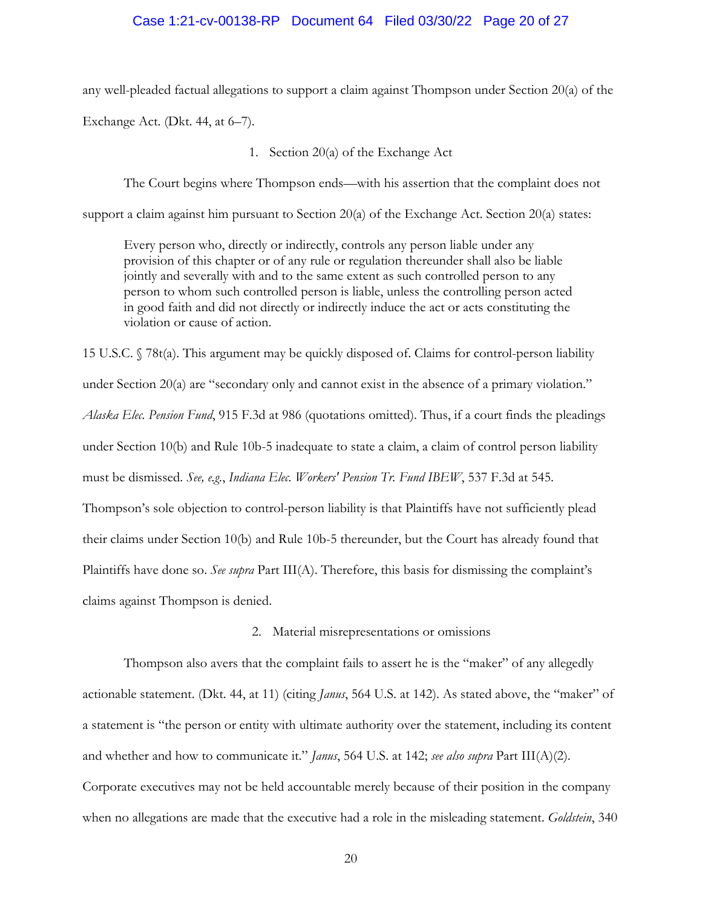#### Case 1:21-cv-00138-RP Document 64 Filed 03/30/22 Page 20 of 27

any well-pleaded factual allegations to support a claim against Thompson under Section 20(a) of the Exchange Act. (Dkt. 44, at 6–7).

1. Section 20(a) of the Exchange Act

The Court begins where Thompson ends—with his assertion that the complaint does not

support a claim against him pursuant to Section 20(a) of the Exchange Act. Section 20(a) states:

Every person who, directly or indirectly, controls any person liable under any provision of this chapter or of any rule or regulation thereunder shall also be liable jointly and severally with and to the same extent as such controlled person to any person to whom such controlled person is liable, unless the controlling person acted in good faith and did not directly or indirectly induce the act or acts constituting the violation or cause of action.

15 U.S.C. § 78t(a). This argument may be quickly disposed of. Claims for control-person liability under Section 20(a) are "secondary only and cannot exist in the absence of a primary violation." *Alaska Elec. Pension Fund*, 915 F.3d at 986 (quotations omitted). Thus, if a court finds the pleadings under Section 10(b) and Rule 10b-5 inadequate to state a claim, a claim of control person liability must be dismissed. *See, e.g.*, *Indiana Elec. Workers' Pension Tr. Fund IBEW*, 537 F.3d at 545. Thompson's sole objection to control-person liability is that Plaintiffs have not sufficiently plead their claims under Section 10(b) and Rule 10b-5 thereunder, but the Court has already found that Plaintiffs have done so. *See supra* Part III(A). Therefore, this basis for dismissing the complaint's claims against Thompson is denied.

### 2. Material misrepresentations or omissions

Thompson also avers that the complaint fails to assert he is the "maker" of any allegedly actionable statement. (Dkt. 44, at 11) (citing *Janus*, 564 U.S. at 142). As stated above, the "maker" of a statement is "the person or entity with ultimate authority over the statement, including its content and whether and how to communicate it." *Janus*, 564 U.S. at 142; *see also supra* Part III(A)(2). Corporate executives may not be held accountable merely because of their position in the company when no allegations are made that the executive had a role in the misleading statement. *Goldstein*, 340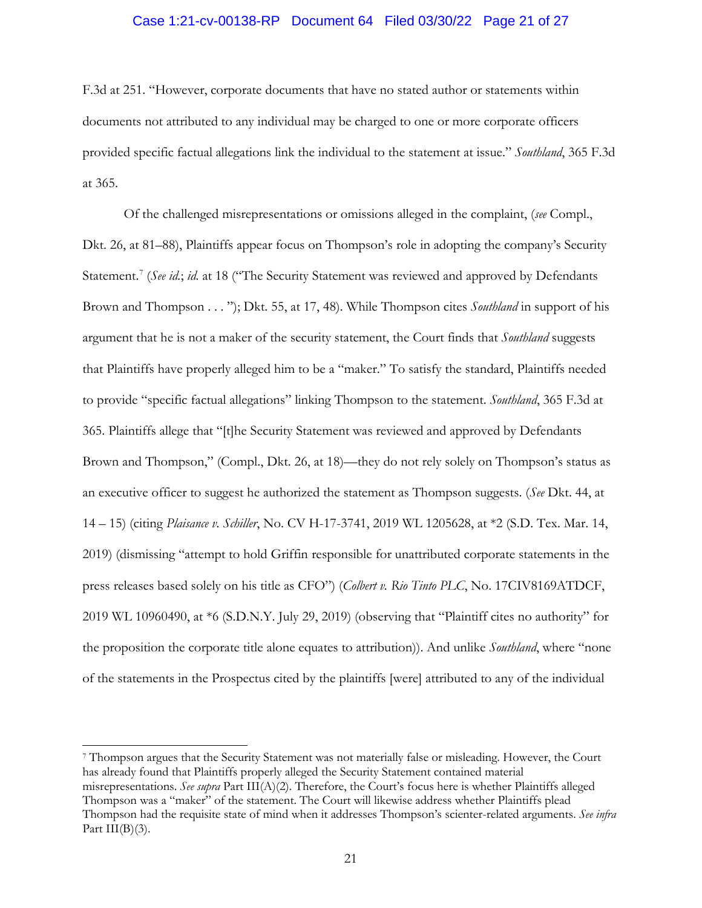### Case 1:21-cv-00138-RP Document 64 Filed 03/30/22 Page 21 of 27

F.3d at 251. "However, corporate documents that have no stated author or statements within documents not attributed to any individual may be charged to one or more corporate officers provided specific factual allegations link the individual to the statement at issue." *Southland*, 365 F.3d at 365.

Of the challenged misrepresentations or omissions alleged in the complaint, (*see* Compl., Dkt. 26, at 81–88), Plaintiffs appear focus on Thompson's role in adopting the company's Security Statement.<sup>7</sup> (See id.; id. at 18 ("The Security Statement was reviewed and approved by Defendants Brown and Thompson . . . "); Dkt. 55, at 17, 48). While Thompson cites *Southland* in support of his argument that he is not a maker of the security statement, the Court finds that *Southland* suggests that Plaintiffs have properly alleged him to be a "maker." To satisfy the standard, Plaintiffs needed to provide "specific factual allegations" linking Thompson to the statement. *Southland*, 365 F.3d at 365. Plaintiffs allege that "[t]he Security Statement was reviewed and approved by Defendants Brown and Thompson," (Compl., Dkt. 26, at 18)—they do not rely solely on Thompson's status as an executive officer to suggest he authorized the statement as Thompson suggests. (*See* Dkt. 44, at 14 – 15) (citing *Plaisance v. Schiller*, No. CV H-17-3741, 2019 WL 1205628, at \*2 (S.D. Tex. Mar. 14, 2019) (dismissing "attempt to hold Griffin responsible for unattributed corporate statements in the press releases based solely on his title as CFO") (*Colbert v. Rio Tinto PLC*, No. 17CIV8169ATDCF, 2019 WL 10960490, at \*6 (S.D.N.Y. July 29, 2019) (observing that "Plaintiff cites no authority" for the proposition the corporate title alone equates to attribution)). And unlike *Southland*, where "none of the statements in the Prospectus cited by the plaintiffs [were] attributed to any of the individual

<sup>7</sup> Thompson argues that the Security Statement was not materially false or misleading. However, the Court has already found that Plaintiffs properly alleged the Security Statement contained material misrepresentations. *See supra* Part III(A)(2). Therefore, the Court's focus here is whether Plaintiffs alleged Thompson was a "maker" of the statement. The Court will likewise address whether Plaintiffs plead Thompson had the requisite state of mind when it addresses Thompson's scienter-related arguments. *See infra*  Part  $III(B)(3)$ .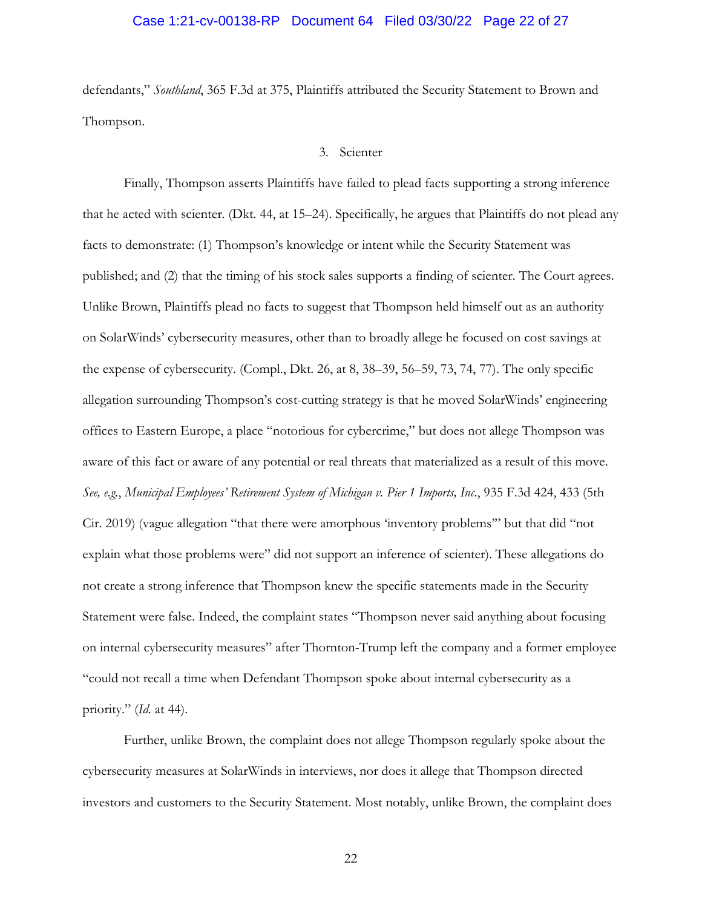# Case 1:21-cv-00138-RP Document 64 Filed 03/30/22 Page 22 of 27

defendants," *Southland*, 365 F.3d at 375, Plaintiffs attributed the Security Statement to Brown and Thompson.

3. Scienter

Finally, Thompson asserts Plaintiffs have failed to plead facts supporting a strong inference that he acted with scienter. (Dkt. 44, at 15–24). Specifically, he argues that Plaintiffs do not plead any facts to demonstrate: (1) Thompson's knowledge or intent while the Security Statement was published; and (2) that the timing of his stock sales supports a finding of scienter. The Court agrees. Unlike Brown, Plaintiffs plead no facts to suggest that Thompson held himself out as an authority on SolarWinds' cybersecurity measures, other than to broadly allege he focused on cost savings at the expense of cybersecurity. (Compl., Dkt. 26, at 8, 38–39, 56–59, 73, 74, 77). The only specific allegation surrounding Thompson's cost-cutting strategy is that he moved SolarWinds' engineering offices to Eastern Europe, a place "notorious for cybercrime," but does not allege Thompson was aware of this fact or aware of any potential or real threats that materialized as a result of this move. *See, e.g.*, *Municipal Employees' Retirement System of Michigan v. Pier 1 Imports, Inc*., 935 F.3d 424, 433 (5th Cir. 2019) (vague allegation "that there were amorphous 'inventory problems'" but that did "not explain what those problems were" did not support an inference of scienter). These allegations do not create a strong inference that Thompson knew the specific statements made in the Security Statement were false. Indeed, the complaint states "Thompson never said anything about focusing on internal cybersecurity measures" after Thornton-Trump left the company and a former employee "could not recall a time when Defendant Thompson spoke about internal cybersecurity as a priority." (*Id.* at 44).

Further, unlike Brown, the complaint does not allege Thompson regularly spoke about the cybersecurity measures at SolarWinds in interviews, nor does it allege that Thompson directed investors and customers to the Security Statement. Most notably, unlike Brown, the complaint does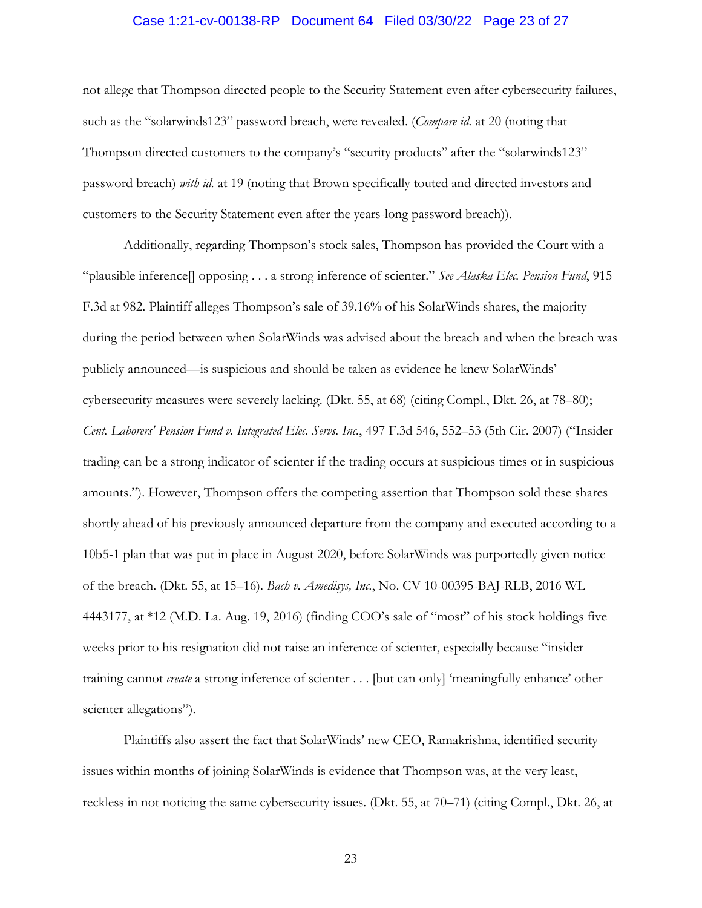# Case 1:21-cv-00138-RP Document 64 Filed 03/30/22 Page 23 of 27

not allege that Thompson directed people to the Security Statement even after cybersecurity failures, such as the "solarwinds123" password breach, were revealed. (*Compare id.* at 20 (noting that Thompson directed customers to the company's "security products" after the "solarwinds123" password breach) *with id.* at 19 (noting that Brown specifically touted and directed investors and customers to the Security Statement even after the years-long password breach)).

Additionally, regarding Thompson's stock sales, Thompson has provided the Court with a "plausible inference[] opposing . . . a strong inference of scienter." *See Alaska Elec. Pension Fund*, 915 F.3d at 982. Plaintiff alleges Thompson's sale of 39.16% of his SolarWinds shares, the majority during the period between when SolarWinds was advised about the breach and when the breach was publicly announced—is suspicious and should be taken as evidence he knew SolarWinds' cybersecurity measures were severely lacking. (Dkt. 55, at 68) (citing Compl., Dkt. 26, at 78–80); *Cent. Laborers' Pension Fund v. Integrated Elec. Servs. Inc.*, 497 F.3d 546, 552–53 (5th Cir. 2007) ("Insider trading can be a strong indicator of scienter if the trading occurs at suspicious times or in suspicious amounts."). However, Thompson offers the competing assertion that Thompson sold these shares shortly ahead of his previously announced departure from the company and executed according to a 10b5-1 plan that was put in place in August 2020, before SolarWinds was purportedly given notice of the breach. (Dkt. 55, at 15–16). *Bach v. Amedisys, Inc.*, No. CV 10-00395-BAJ-RLB, 2016 WL 4443177, at \*12 (M.D. La. Aug. 19, 2016) (finding COO's sale of "most" of his stock holdings five weeks prior to his resignation did not raise an inference of scienter, especially because "insider training cannot *create* a strong inference of scienter . . . [but can only] 'meaningfully enhance' other scienter allegations").

Plaintiffs also assert the fact that SolarWinds' new CEO, Ramakrishna, identified security issues within months of joining SolarWinds is evidence that Thompson was, at the very least, reckless in not noticing the same cybersecurity issues. (Dkt. 55, at 70–71) (citing Compl., Dkt. 26, at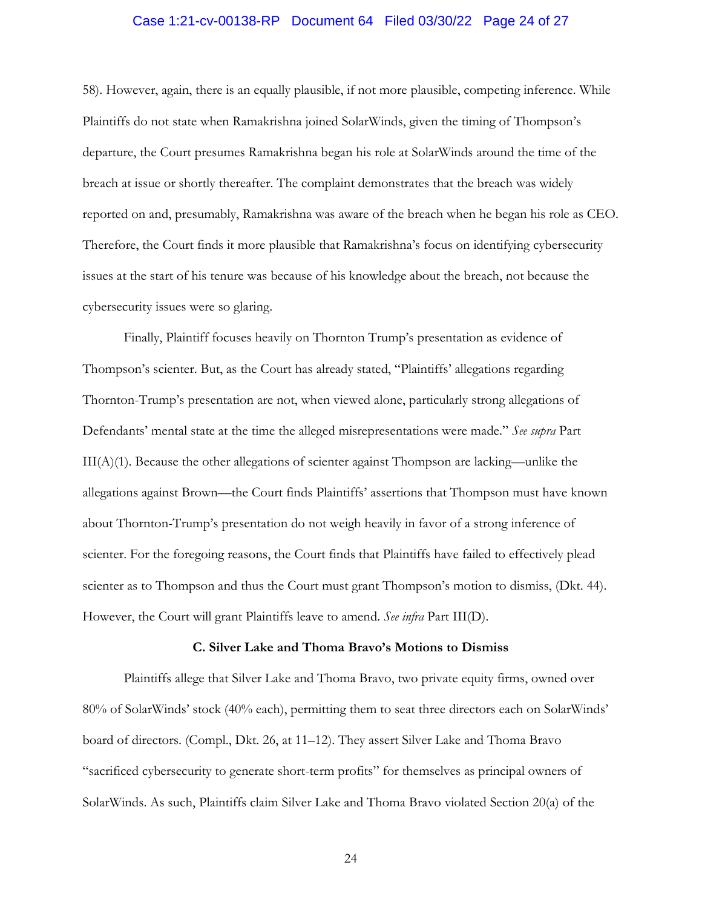### Case 1:21-cv-00138-RP Document 64 Filed 03/30/22 Page 24 of 27

58). However, again, there is an equally plausible, if not more plausible, competing inference. While Plaintiffs do not state when Ramakrishna joined SolarWinds, given the timing of Thompson's departure, the Court presumes Ramakrishna began his role at SolarWinds around the time of the breach at issue or shortly thereafter. The complaint demonstrates that the breach was widely reported on and, presumably, Ramakrishna was aware of the breach when he began his role as CEO. Therefore, the Court finds it more plausible that Ramakrishna's focus on identifying cybersecurity issues at the start of his tenure was because of his knowledge about the breach, not because the cybersecurity issues were so glaring.

Finally, Plaintiff focuses heavily on Thornton Trump's presentation as evidence of Thompson's scienter. But, as the Court has already stated, "Plaintiffs' allegations regarding Thornton-Trump's presentation are not, when viewed alone, particularly strong allegations of Defendants' mental state at the time the alleged misrepresentations were made." *See supra* Part  $III(A)(1)$ . Because the other allegations of scienter against Thompson are lacking—unlike the allegations against Brown—the Court finds Plaintiffs' assertions that Thompson must have known about Thornton-Trump's presentation do not weigh heavily in favor of a strong inference of scienter. For the foregoing reasons, the Court finds that Plaintiffs have failed to effectively plead scienter as to Thompson and thus the Court must grant Thompson's motion to dismiss, (Dkt. 44). However, the Court will grant Plaintiffs leave to amend. *See infra* Part III(D).

#### **C. Silver Lake and Thoma Bravo's Motions to Dismiss**

Plaintiffs allege that Silver Lake and Thoma Bravo, two private equity firms, owned over 80% of SolarWinds' stock (40% each), permitting them to seat three directors each on SolarWinds' board of directors. (Compl., Dkt. 26, at 11–12). They assert Silver Lake and Thoma Bravo "sacrificed cybersecurity to generate short-term profits" for themselves as principal owners of SolarWinds. As such, Plaintiffs claim Silver Lake and Thoma Bravo violated Section 20(a) of the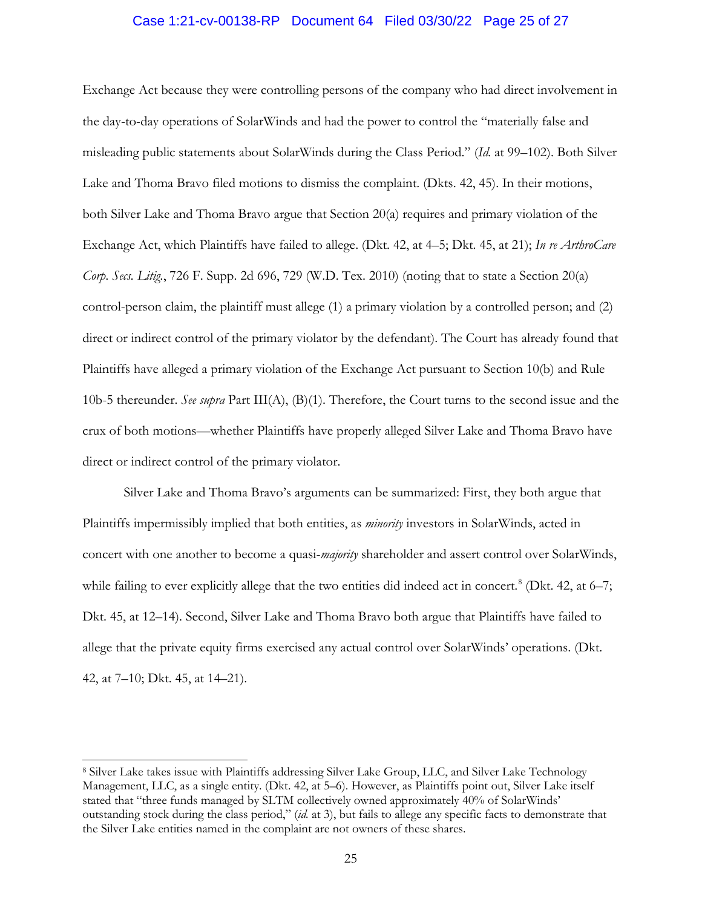### Case 1:21-cv-00138-RP Document 64 Filed 03/30/22 Page 25 of 27

Exchange Act because they were controlling persons of the company who had direct involvement in the day-to-day operations of SolarWinds and had the power to control the "materially false and misleading public statements about SolarWinds during the Class Period." (*Id.* at 99–102). Both Silver Lake and Thoma Bravo filed motions to dismiss the complaint. (Dkts. 42, 45). In their motions, both Silver Lake and Thoma Bravo argue that Section 20(a) requires and primary violation of the Exchange Act, which Plaintiffs have failed to allege. (Dkt. 42, at 4–5; Dkt. 45, at 21); *In re ArthroCare Corp. Secs. Litig.*, 726 F. Supp. 2d 696, 729 (W.D. Tex. 2010) (noting that to state a Section 20(a) control-person claim, the plaintiff must allege (1) a primary violation by a controlled person; and (2) direct or indirect control of the primary violator by the defendant). The Court has already found that Plaintiffs have alleged a primary violation of the Exchange Act pursuant to Section 10(b) and Rule 10b-5 thereunder. *See supra* Part III(A), (B)(1). Therefore, the Court turns to the second issue and the crux of both motions—whether Plaintiffs have properly alleged Silver Lake and Thoma Bravo have direct or indirect control of the primary violator.

Silver Lake and Thoma Bravo's arguments can be summarized: First, they both argue that Plaintiffs impermissibly implied that both entities, as *minority* investors in SolarWinds, acted in concert with one another to become a quasi-*majority* shareholder and assert control over SolarWinds, while failing to ever explicitly allege that the two entities did indeed act in concert.<sup>8</sup> (Dkt. 42, at 6–7; Dkt. 45, at 12–14). Second, Silver Lake and Thoma Bravo both argue that Plaintiffs have failed to allege that the private equity firms exercised any actual control over SolarWinds' operations. (Dkt. 42, at 7–10; Dkt. 45, at 14–21).

<sup>8</sup> Silver Lake takes issue with Plaintiffs addressing Silver Lake Group, LLC, and Silver Lake Technology Management, LLC, as a single entity. (Dkt. 42, at 5–6). However, as Plaintiffs point out, Silver Lake itself stated that "three funds managed by SLTM collectively owned approximately 40% of SolarWinds' outstanding stock during the class period," (*id.* at 3), but fails to allege any specific facts to demonstrate that the Silver Lake entities named in the complaint are not owners of these shares.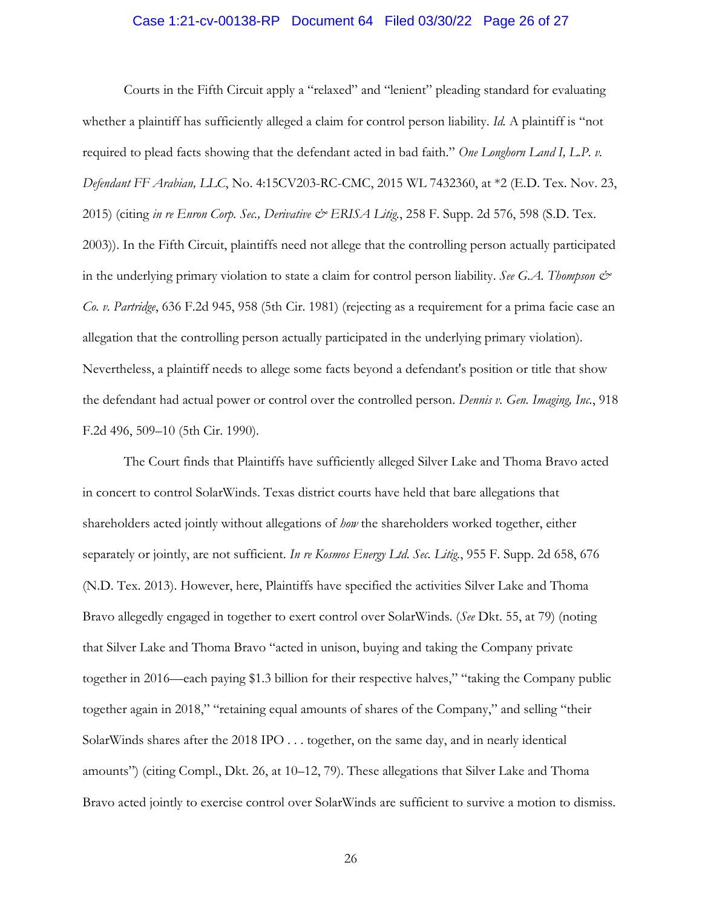### Case 1:21-cv-00138-RP Document 64 Filed 03/30/22 Page 26 of 27

Courts in the Fifth Circuit apply a "relaxed" and "lenient" pleading standard for evaluating whether a plaintiff has sufficiently alleged a claim for control person liability. *Id.* A plaintiff is "not required to plead facts showing that the defendant acted in bad faith." *One Longhorn Land I, L.P. v. Defendant FF Arabian, LLC*, No. 4:15CV203-RC-CMC, 2015 WL 7432360, at \*2 (E.D. Tex. Nov. 23, 2015) (citing *in re Enron Corp. Sec., Derivative & ERISA Litig.*, 258 F. Supp. 2d 576, 598 (S.D. Tex. 2003)). In the Fifth Circuit, plaintiffs need not allege that the controlling person actually participated in the underlying primary violation to state a claim for control person liability. *See G.A. Thompson & Co. v. Partridge*, 636 F.2d 945, 958 (5th Cir. 1981) (rejecting as a requirement for a prima facie case an allegation that the controlling person actually participated in the underlying primary violation). Nevertheless, a plaintiff needs to allege some facts beyond a defendant's position or title that show the defendant had actual power or control over the controlled person. *Dennis v. Gen. Imaging, Inc.*, 918 F.2d 496, 509–10 (5th Cir. 1990).

The Court finds that Plaintiffs have sufficiently alleged Silver Lake and Thoma Bravo acted in concert to control SolarWinds. Texas district courts have held that bare allegations that shareholders acted jointly without allegations of *how* the shareholders worked together, either separately or jointly, are not sufficient. *In re Kosmos Energy Ltd. Sec. Litig.*, 955 F. Supp. 2d 658, 676 (N.D. Tex. 2013). However, here, Plaintiffs have specified the activities Silver Lake and Thoma Bravo allegedly engaged in together to exert control over SolarWinds. (*See* Dkt. 55, at 79) (noting that Silver Lake and Thoma Bravo "acted in unison, buying and taking the Company private together in 2016—each paying \$1.3 billion for their respective halves," "taking the Company public together again in 2018," "retaining equal amounts of shares of the Company," and selling "their SolarWinds shares after the 2018 IPO . . . together, on the same day, and in nearly identical amounts") (citing Compl., Dkt. 26, at 10–12, 79). These allegations that Silver Lake and Thoma Bravo acted jointly to exercise control over SolarWinds are sufficient to survive a motion to dismiss.